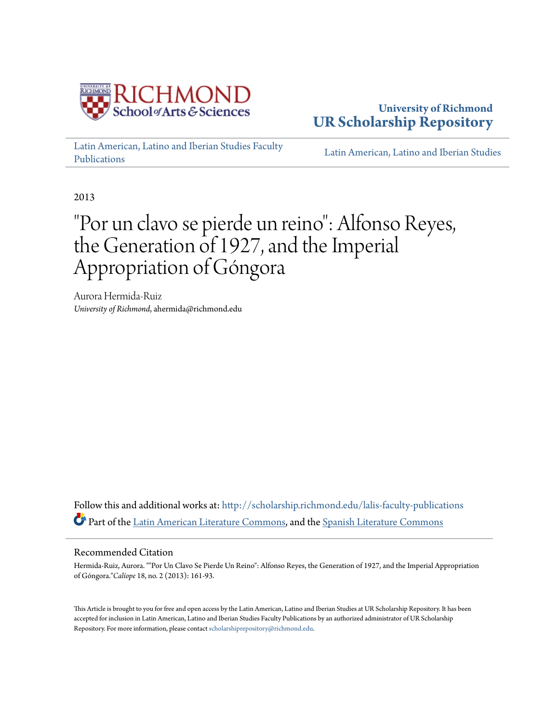

## **University of Richmond [UR Scholarship Repository](http://scholarship.richmond.edu?utm_source=scholarship.richmond.edu%2Flalis-faculty-publications%2F59&utm_medium=PDF&utm_campaign=PDFCoverPages)**

[Latin American, Latino and Iberian Studies Faculty](http://scholarship.richmond.edu/lalis-faculty-publications?utm_source=scholarship.richmond.edu%2Flalis-faculty-publications%2F59&utm_medium=PDF&utm_campaign=PDFCoverPages) [Publications](http://scholarship.richmond.edu/lalis-faculty-publications?utm_source=scholarship.richmond.edu%2Flalis-faculty-publications%2F59&utm_medium=PDF&utm_campaign=PDFCoverPages)

[Latin American, Latino and Iberian Studies](http://scholarship.richmond.edu/lalis?utm_source=scholarship.richmond.edu%2Flalis-faculty-publications%2F59&utm_medium=PDF&utm_campaign=PDFCoverPages)

2013

# "Por un clavo se pierde un reino": Alfonso Reyes, the Generation of 1927, and the Imperial Appropriation of Góngora

Aurora Hermida-Ruiz *University of Richmond*, ahermida@richmond.edu

Follow this and additional works at: [http://scholarship.richmond.edu/lalis-faculty-publications](http://scholarship.richmond.edu/lalis-faculty-publications?utm_source=scholarship.richmond.edu%2Flalis-faculty-publications%2F59&utm_medium=PDF&utm_campaign=PDFCoverPages) Part of the [Latin American Literature Commons,](http://network.bepress.com/hgg/discipline/547?utm_source=scholarship.richmond.edu%2Flalis-faculty-publications%2F59&utm_medium=PDF&utm_campaign=PDFCoverPages) and the [Spanish Literature Commons](http://network.bepress.com/hgg/discipline/550?utm_source=scholarship.richmond.edu%2Flalis-faculty-publications%2F59&utm_medium=PDF&utm_campaign=PDFCoverPages)

#### Recommended Citation

Hermida-Ruiz, Aurora. ""Por Un Clavo Se Pierde Un Reino": Alfonso Reyes, the Generation of 1927, and the Imperial Appropriation of Góngora."*Calíope* 18, no. 2 (2013): 161-93.

This Article is brought to you for free and open access by the Latin American, Latino and Iberian Studies at UR Scholarship Repository. It has been accepted for inclusion in Latin American, Latino and Iberian Studies Faculty Publications by an authorized administrator of UR Scholarship Repository. For more information, please contact [scholarshiprepository@richmond.edu.](mailto:scholarshiprepository@richmond.edu)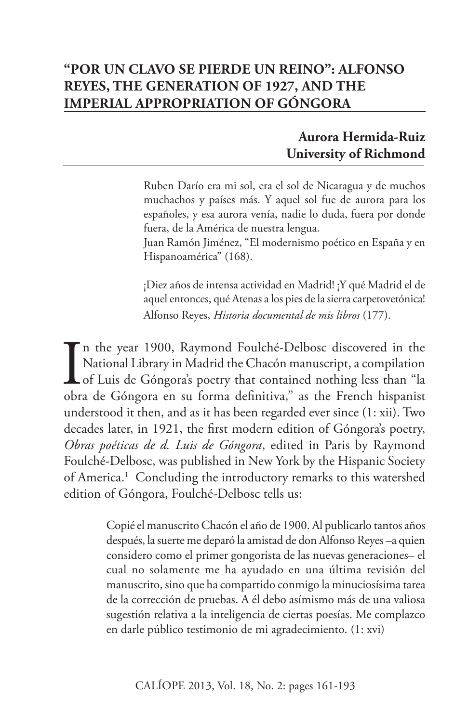## **"POR UN CLAVO SE PIERDE UN REINO": ALFONSO REYES, THE GENERATION OF 1927, AND THE IMPERIAL APPROPRIATION OF GÓNGORA**

### **Aurora Hermida-Ruiz University of Richmond**

Ruben Darío era mi sol, era el sol de Nicaragua y de muchos muchachos y países más. Y aquel sol fue de aurora para los españoles, y esa aurora venía, nadie lo duda, fuera por donde fuera, de la América de nuestra lengua.

Juan Ramón Jiménez, "El modernismo poético en España y en Hispanoamérica" (168).

¡Diez años de intensa actividad en Madrid! ¡Y qué Madrid el de aquel entonces, qué Atenas a los pies de la sierra carpetovetónica! Alfonso Reyes, *Historia documental de mis libros* (177).

I<sub>obr</sub> n the year 1900, Raymond Foulché-Delbosc discovered in the National Library in Madrid the Chacón manuscript, a compilation of Luis de Góngora's poetry that contained nothing less than "la obra de Góngora en su forma definitiva," as the French hispanist understood it then, and as it has been regarded ever since (1: xii). Two decades later, in 1921, the first modern edition of Góngora's poetry, *Obras poéticas de d. Luis de Góngora*, edited in Paris by Raymond Foulché-Delbosc, was published in New York by the Hispanic Society of America.<sup>1</sup> Concluding the introductory remarks to this watershed edition of Góngora, Foulché-Delbosc tells us:

> Copié el manuscrito Chacón el año de 1900. Al publicarlo tantos años después, la suerte me deparó la amistad de don Alfonso Reyes –a quien considero como el primer gongorista de las nuevas generaciones– el cual no solamente me ha ayudado en una última revisión del manuscrito, sino que ha compartido conmigo la minuciosísima tarea de la corrección de pruebas. A él debo asímismo más de una valiosa sugestión relativa a la inteligencia de ciertas poesías. Me complazco en darle público testimonio de mi agradecimiento. (1: xvi)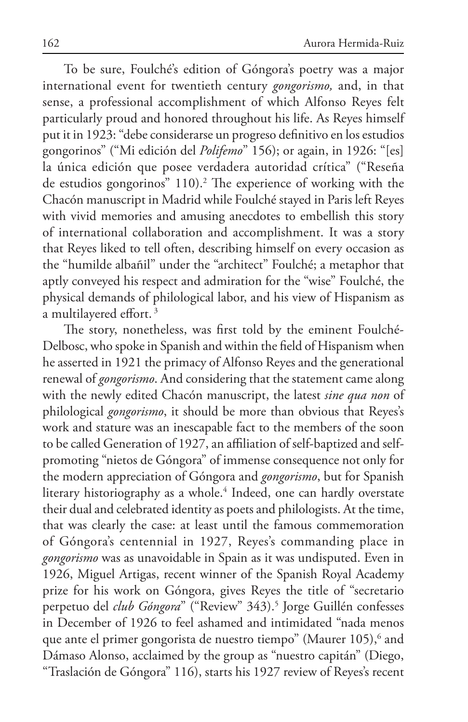To be sure, Foulché's edition of Góngora's poetry was a major international event for twentieth century *gongorismo,* and, in that sense, a professional accomplishment of which Alfonso Reyes felt particularly proud and honored throughout his life. As Reyes himself put it in 1923: "debe considerarse un progreso definitivo en los estudios gongorinos" ("Mi edición del *Polifemo*" 156); or again, in 1926: "[es] la única edición que posee verdadera autoridad crítica" ("Reseña de estudios gongorinos" 110).2 The experience of working with the Chacón manuscript in Madrid while Foulché stayed in Paris left Reyes with vivid memories and amusing anecdotes to embellish this story of international collaboration and accomplishment. It was a story that Reyes liked to tell often, describing himself on every occasion as the "humilde albañil" under the "architect" Foulché; a metaphor that aptly conveyed his respect and admiration for the "wise" Foulché, the physical demands of philological labor, and his view of Hispanism as a multilayered effort.<sup>3</sup>

The story, nonetheless, was first told by the eminent Foulché-Delbosc, who spoke in Spanish and within the field of Hispanism when he asserted in 1921 the primacy of Alfonso Reyes and the generational renewal of *gongorismo*. And considering that the statement came along with the newly edited Chacón manuscript, the latest *sine qua non* of philological *gongorismo*, it should be more than obvious that Reyes's work and stature was an inescapable fact to the members of the soon to be called Generation of 1927, an affiliation of self-baptized and selfpromoting "nietos de Góngora" of immense consequence not only for the modern appreciation of Góngora and *gongorismo*, but for Spanish literary historiography as a whole.<sup>4</sup> Indeed, one can hardly overstate their dual and celebrated identity as poets and philologists. At the time, that was clearly the case: at least until the famous commemoration of Góngora's centennial in 1927, Reyes's commanding place in *gongorismo* was as unavoidable in Spain as it was undisputed. Even in 1926, Miguel Artigas, recent winner of the Spanish Royal Academy prize for his work on Góngora, gives Reyes the title of "secretario perpetuo del *club Góngora*" ("Review" 343).<sup>5</sup> Jorge Guillén confesses in December of 1926 to feel ashamed and intimidated "nada menos que ante el primer gongorista de nuestro tiempo" (Maurer 105),<sup>6</sup> and Dámaso Alonso, acclaimed by the group as "nuestro capitán" (Diego, "Traslación de Góngora" 116), starts his 1927 review of Reyes's recent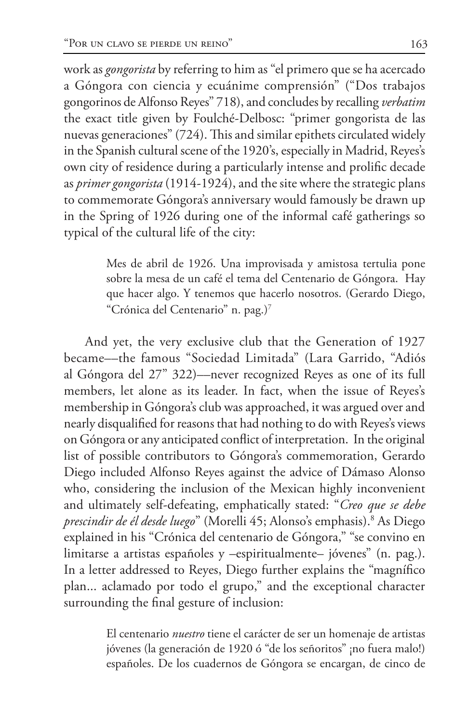work as *gongorista* by referring to him as "el primero que se ha acercado a Góngora con ciencia y ecuánime comprensión" ("Dos trabajos gongorinos de Alfonso Reyes" 718), and concludes by recalling *verbatim* the exact title given by Foulché-Delbosc: "primer gongorista de las nuevas generaciones" (724). This and similar epithets circulated widely in the Spanish cultural scene of the 1920's, especially in Madrid, Reyes's own city of residence during a particularly intense and prolific decade as *primer gongorista* (1914-1924), and the site where the strategic plans to commemorate Góngora's anniversary would famously be drawn up in the Spring of 1926 during one of the informal café gatherings so typical of the cultural life of the city:

> Mes de abril de 1926. Una improvisada y amistosa tertulia pone sobre la mesa de un café el tema del Centenario de Góngora. Hay que hacer algo. Y tenemos que hacerlo nosotros. (Gerardo Diego, "Crónica del Centenario" n. pag.)<sup>7</sup>

And yet, the very exclusive club that the Generation of 1927 became––the famous "Sociedad Limitada" (Lara Garrido, "Adiós al Góngora del 27" 322)––never recognized Reyes as one of its full members, let alone as its leader. In fact, when the issue of Reyes's membership in Góngora's club was approached, it was argued over and nearly disqualified for reasons that had nothing to do with Reyes's views on Góngora or any anticipated conflict of interpretation. In the original list of possible contributors to Góngora's commemoration, Gerardo Diego included Alfonso Reyes against the advice of Dámaso Alonso who, considering the inclusion of the Mexican highly inconvenient and ultimately self-defeating, emphatically stated: "*Creo que se debe prescindir de él desde luego*" (Morelli 45; Alonso's emphasis).8 As Diego explained in his "Crónica del centenario de Góngora," "se convino en limitarse a artistas españoles y –espiritualmente– jóvenes" (n. pag.). In a letter addressed to Reyes, Diego further explains the "magnífico plan... aclamado por todo el grupo," and the exceptional character surrounding the final gesture of inclusion:

> El centenario *nuestro* tiene el carácter de ser un homenaje de artistas jóvenes (la generación de 1920 ó "de los señoritos" ¡no fuera malo!) españoles. De los cuadernos de Góngora se encargan, de cinco de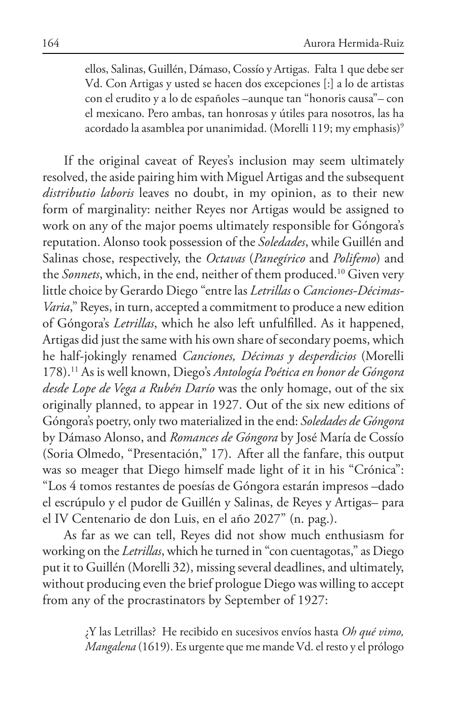ellos, Salinas, Guillén, Dámaso, Cossío y Artigas. Falta 1 que debe ser Vd. Con Artigas y usted se hacen dos excepciones [:] a lo de artistas con el erudito y a lo de españoles –aunque tan "honoris causa"– con el mexicano. Pero ambas, tan honrosas y útiles para nosotros, las ha acordado la asamblea por unanimidad. (Morelli 119; my emphasis)<sup>9</sup>

If the original caveat of Reyes's inclusion may seem ultimately resolved, the aside pairing him with Miguel Artigas and the subsequent *distributio laboris* leaves no doubt, in my opinion, as to their new form of marginality: neither Reyes nor Artigas would be assigned to work on any of the major poems ultimately responsible for Góngora's reputation. Alonso took possession of the *Soledades*, while Guillén and Salinas chose, respectively, the *Octavas* (*Panegírico* and *Polifemo*) and the *Sonnets*, which, in the end, neither of them produced.<sup>10</sup> Given very little choice by Gerardo Diego "entre las *Letrillas* o *Canciones-Décimas-Varia*," Reyes, in turn, accepted a commitment to produce a new edition of Góngora's *Letrillas*, which he also left unfulfilled. As it happened, Artigas did just the same with his own share of secondary poems, which he half-jokingly renamed *Canciones, Décimas y desperdicios* (Morelli 178).11 As is well known, Diego's *Antología Poética en honor de Góngora desde Lope de Vega a Rubén Darío* was the only homage, out of the six originally planned, to appear in 1927. Out of the six new editions of Góngora's poetry, only two materialized in the end: *Soledades de Góngora* by Dámaso Alonso, and *Romances de Góngora* by José María de Cossío (Soria Olmedo, "Presentación," 17). After all the fanfare, this output was so meager that Diego himself made light of it in his "Crónica": "Los 4 tomos restantes de poesías de Góngora estarán impresos –dado el escrúpulo y el pudor de Guillén y Salinas, de Reyes y Artigas– para el IV Centenario de don Luis, en el año 2027" (n. pag.).

As far as we can tell, Reyes did not show much enthusiasm for working on the *Letrillas*, which he turned in "con cuentagotas," as Diego put it to Guillén (Morelli 32), missing several deadlines, and ultimately, without producing even the brief prologue Diego was willing to accept from any of the procrastinators by September of 1927:

> ¿Y las Letrillas? He recibido en sucesivos envíos hasta *Oh qué vimo, Mangalena* (1619). Es urgente que me mande Vd. el resto y el prólogo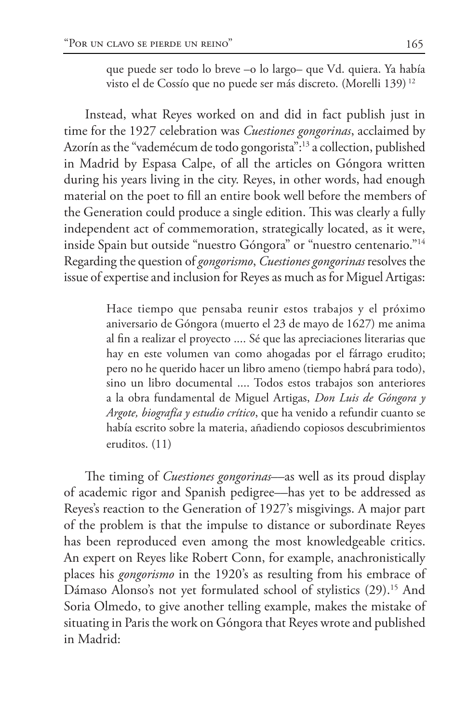que puede ser todo lo breve –o lo largo– que Vd. quiera. Ya había visto el de Cossío que no puede ser más discreto. (Morelli 139) 12

Instead, what Reyes worked on and did in fact publish just in time for the 1927 celebration was *Cuestiones gongorinas*, acclaimed by Azorín as the "vademécum de todo gongorista":13 a collection, published in Madrid by Espasa Calpe, of all the articles on Góngora written during his years living in the city. Reyes, in other words, had enough material on the poet to fill an entire book well before the members of the Generation could produce a single edition. This was clearly a fully independent act of commemoration, strategically located, as it were, inside Spain but outside "nuestro Góngora" or "nuestro centenario."14 Regarding the question of *gongorismo*, *Cuestiones gongorinas* resolves the issue of expertise and inclusion for Reyes as much as for Miguel Artigas:

> Hace tiempo que pensaba reunir estos trabajos y el próximo aniversario de Góngora (muerto el 23 de mayo de 1627) me anima al fin a realizar el proyecto .... Sé que las apreciaciones literarias que hay en este volumen van como ahogadas por el fárrago erudito; pero no he querido hacer un libro ameno (tiempo habrá para todo), sino un libro documental .... Todos estos trabajos son anteriores a la obra fundamental de Miguel Artigas, *Don Luis de Góngora y Argote, biografía y estudio crítico*, que ha venido a refundir cuanto se había escrito sobre la materia, añadiendo copiosos descubrimientos eruditos. (11)

The timing of *Cuestiones gongorinas*––as well as its proud display of academic rigor and Spanish pedigree––has yet to be addressed as Reyes's reaction to the Generation of 1927's misgivings. A major part of the problem is that the impulse to distance or subordinate Reyes has been reproduced even among the most knowledgeable critics. An expert on Reyes like Robert Conn, for example, anachronistically places his *gongorismo* in the 1920's as resulting from his embrace of Dámaso Alonso's not yet formulated school of stylistics (29).<sup>15</sup> And Soria Olmedo, to give another telling example, makes the mistake of situating in Paris the work on Góngora that Reyes wrote and published in Madrid: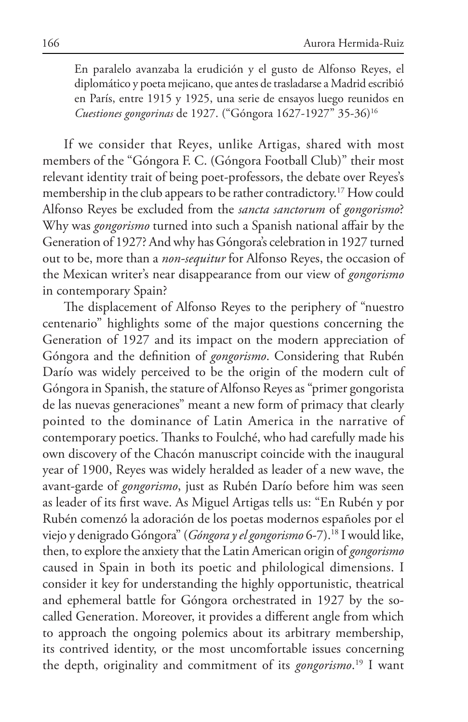En paralelo avanzaba la erudición y el gusto de Alfonso Reyes, el diplomático y poeta mejicano, que antes de trasladarse a Madrid escribió en París, entre 1915 y 1925, una serie de ensayos luego reunidos en *Cuestiones gongorinas* de 1927. ("Góngora 1627-1927" 35-36)16

If we consider that Reyes, unlike Artigas, shared with most members of the "Góngora F. C. (Góngora Football Club)" their most relevant identity trait of being poet-professors, the debate over Reyes's membership in the club appears to be rather contradictory.17 How could Alfonso Reyes be excluded from the *sancta sanctorum* of *gongorismo*? Why was *gongorismo* turned into such a Spanish national affair by the Generation of 1927? And why has Góngora's celebration in 1927 turned out to be, more than a *non-sequitur* for Alfonso Reyes, the occasion of the Mexican writer's near disappearance from our view of *gongorismo* in contemporary Spain?

The displacement of Alfonso Reyes to the periphery of "nuestro centenario" highlights some of the major questions concerning the Generation of 1927 and its impact on the modern appreciation of Góngora and the definition of *gongorismo*. Considering that Rubén Darío was widely perceived to be the origin of the modern cult of Góngora in Spanish, the stature of Alfonso Reyes as "primer gongorista de las nuevas generaciones" meant a new form of primacy that clearly pointed to the dominance of Latin America in the narrative of contemporary poetics. Thanks to Foulché, who had carefully made his own discovery of the Chacón manuscript coincide with the inaugural year of 1900, Reyes was widely heralded as leader of a new wave, the avant-garde of *gongorismo*, just as Rubén Darío before him was seen as leader of its first wave. As Miguel Artigas tells us: "En Rubén y por Rubén comenzó la adoración de los poetas modernos españoles por el viejo y denigrado Góngora" (*Góngora y el gongorismo* 6-7).18 I would like, then, to explore the anxiety that the Latin American origin of *gongorismo* caused in Spain in both its poetic and philological dimensions. I consider it key for understanding the highly opportunistic, theatrical and ephemeral battle for Góngora orchestrated in 1927 by the socalled Generation. Moreover, it provides a different angle from which to approach the ongoing polemics about its arbitrary membership, its contrived identity, or the most uncomfortable issues concerning the depth, originality and commitment of its *gongorismo*. 19 I want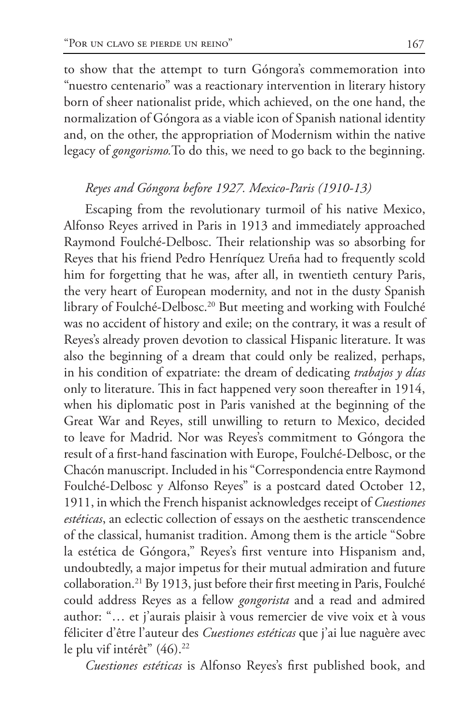to show that the attempt to turn Góngora's commemoration into "nuestro centenario" was a reactionary intervention in literary history born of sheer nationalist pride, which achieved, on the one hand, the normalization of Góngora as a viable icon of Spanish national identity and, on the other, the appropriation of Modernism within the native legacy of *gongorismo.*To do this, we need to go back to the beginning.

#### *Reyes and Góngora before 1927. Mexico-Paris (1910-13)*

Escaping from the revolutionary turmoil of his native Mexico, Alfonso Reyes arrived in Paris in 1913 and immediately approached Raymond Foulché-Delbosc. Their relationship was so absorbing for Reyes that his friend Pedro Henríquez Ureña had to frequently scold him for forgetting that he was, after all, in twentieth century Paris, the very heart of European modernity, and not in the dusty Spanish library of Foulché-Delbosc.<sup>20</sup> But meeting and working with Foulché was no accident of history and exile; on the contrary, it was a result of Reyes's already proven devotion to classical Hispanic literature. It was also the beginning of a dream that could only be realized, perhaps, in his condition of expatriate: the dream of dedicating *trabajos y días*  only to literature. This in fact happened very soon thereafter in 1914, when his diplomatic post in Paris vanished at the beginning of the Great War and Reyes, still unwilling to return to Mexico, decided to leave for Madrid. Nor was Reyes's commitment to Góngora the result of a first-hand fascination with Europe, Foulché-Delbosc, or the Chacón manuscript. Included in his "Correspondencia entre Raymond Foulché-Delbosc y Alfonso Reyes" is a postcard dated October 12, 1911, in which the French hispanist acknowledges receipt of *Cuestiones estéticas*, an eclectic collection of essays on the aesthetic transcendence of the classical, humanist tradition. Among them is the article "Sobre la estética de Góngora," Reyes's first venture into Hispanism and, undoubtedly, a major impetus for their mutual admiration and future collaboration.21 By 1913, just before their first meeting in Paris, Foulché could address Reyes as a fellow *gongorista* and a read and admired author: "… et j'aurais plaisir à vous remercier de vive voix et à vous féliciter d'être l'auteur des *Cuestiones estéticas* que j'ai lue naguère avec le plu vif intérêt" (46).<sup>22</sup>

*Cuestiones estéticas* is Alfonso Reyes's first published book, and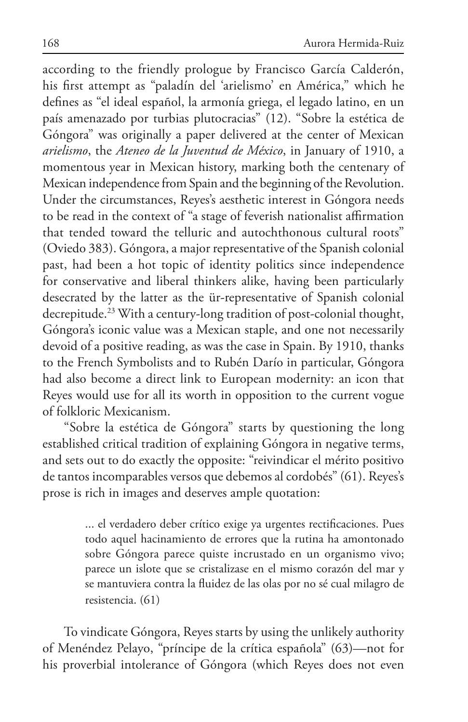according to the friendly prologue by Francisco García Calderón, his first attempt as "paladín del 'arielismo' en América," which he defines as "el ideal español, la armonía griega, el legado latino, en un país amenazado por turbias plutocracias" (12). "Sobre la estética de Góngora" was originally a paper delivered at the center of Mexican *arielismo*, the *Ateneo de la Juventud de México*, in January of 1910, a momentous year in Mexican history, marking both the centenary of Mexican independence from Spain and the beginning of the Revolution. Under the circumstances, Reyes's aesthetic interest in Góngora needs to be read in the context of "a stage of feverish nationalist affirmation that tended toward the telluric and autochthonous cultural roots" (Oviedo 383). Góngora, a major representative of the Spanish colonial past, had been a hot topic of identity politics since independence for conservative and liberal thinkers alike, having been particularly desecrated by the latter as the ür-representative of Spanish colonial decrepitude.<sup>23</sup> With a century-long tradition of post-colonial thought, Góngora's iconic value was a Mexican staple, and one not necessarily devoid of a positive reading, as was the case in Spain. By 1910, thanks to the French Symbolists and to Rubén Darío in particular, Góngora had also become a direct link to European modernity: an icon that Reyes would use for all its worth in opposition to the current vogue of folkloric Mexicanism.

"Sobre la estética de Góngora" starts by questioning the long established critical tradition of explaining Góngora in negative terms, and sets out to do exactly the opposite: "reivindicar el mérito positivo de tantos incomparables versos que debemos al cordobés" (61). Reyes's prose is rich in images and deserves ample quotation:

> ... el verdadero deber crítico exige ya urgentes rectificaciones. Pues todo aquel hacinamiento de errores que la rutina ha amontonado sobre Góngora parece quiste incrustado en un organismo vivo; parece un islote que se cristalizase en el mismo corazón del mar y se mantuviera contra la fluidez de las olas por no sé cual milagro de resistencia. (61)

To vindicate Góngora, Reyes starts by using the unlikely authority of Menéndez Pelayo, "príncipe de la crítica española" (63)––not for his proverbial intolerance of Góngora (which Reyes does not even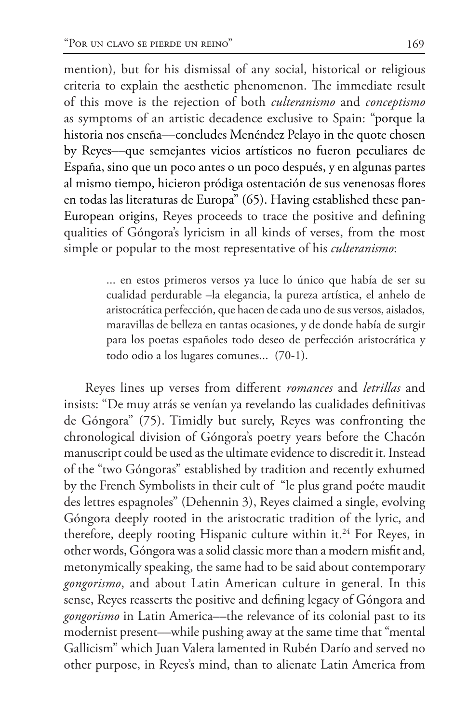mention), but for his dismissal of any social, historical or religious criteria to explain the aesthetic phenomenon. The immediate result of this move is the rejection of both *culteranismo* and *conceptismo* as symptoms of an artistic decadence exclusive to Spain: "porque la historia nos enseña––concludes Menéndez Pelayo in the quote chosen by Reyes––que semejantes vicios artísticos no fueron peculiares de España, sino que un poco antes o un poco después, y en algunas partes al mismo tiempo, hicieron pródiga ostentación de sus venenosas flores en todas las literaturas de Europa" (65). Having established these pan-European origins, Reyes proceeds to trace the positive and defining qualities of Góngora's lyricism in all kinds of verses, from the most simple or popular to the most representative of his *culteranismo*:

> ... en estos primeros versos ya luce lo único que había de ser su cualidad perdurable –la elegancia, la pureza artística, el anhelo de aristocrática perfección, que hacen de cada uno de sus versos, aislados, maravillas de belleza en tantas ocasiones, y de donde había de surgir para los poetas españoles todo deseo de perfección aristocrática y todo odio a los lugares comunes... (70-1).

Reyes lines up verses from different *romances* and *letrillas* and insists: "De muy atrás se venían ya revelando las cualidades definitivas de Góngora" (75). Timidly but surely, Reyes was confronting the chronological division of Góngora's poetry years before the Chacón manuscript could be used as the ultimate evidence to discredit it. Instead of the "two Góngoras" established by tradition and recently exhumed by the French Symbolists in their cult of "le plus grand poéte maudit des lettres espagnoles" (Dehennin 3), Reyes claimed a single, evolving Góngora deeply rooted in the aristocratic tradition of the lyric, and therefore, deeply rooting Hispanic culture within it.<sup>24</sup> For Reyes, in other words, Góngora was a solid classic more than a modern misfit and, metonymically speaking, the same had to be said about contemporary *gongorismo*, and about Latin American culture in general. In this sense, Reyes reasserts the positive and defining legacy of Góngora and *gongorismo* in Latin America––the relevance of its colonial past to its modernist present––while pushing away at the same time that "mental Gallicism" which Juan Valera lamented in Rubén Darío and served no other purpose, in Reyes's mind, than to alienate Latin America from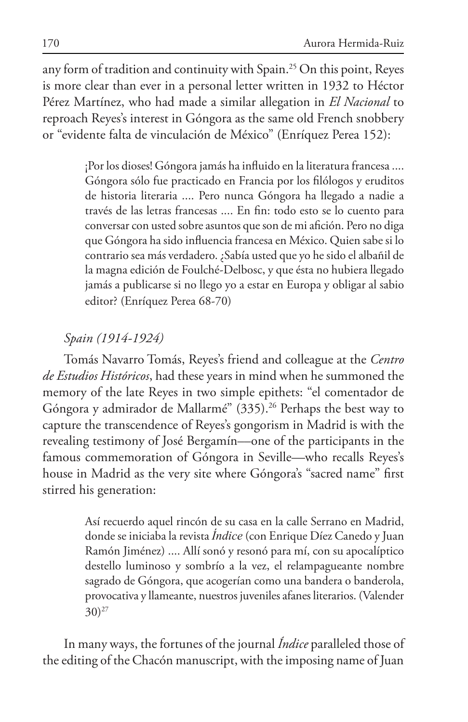any form of tradition and continuity with Spain.25 On this point, Reyes is more clear than ever in a personal letter written in 1932 to Héctor Pérez Martínez, who had made a similar allegation in *El Nacional* to reproach Reyes's interest in Góngora as the same old French snobbery or "evidente falta de vinculación de México" (Enríquez Perea 152):

> ¡Por los dioses! Góngora jamás ha influido en la literatura francesa .... Góngora sólo fue practicado en Francia por los filólogos y eruditos de historia literaria .... Pero nunca Góngora ha llegado a nadie a través de las letras francesas .... En fin: todo esto se lo cuento para conversar con usted sobre asuntos que son de mi afición. Pero no diga que Góngora ha sido influencia francesa en México. Quien sabe si lo contrario sea más verdadero. ¿Sabía usted que yo he sido el albañil de la magna edición de Foulché-Delbosc, y que ésta no hubiera llegado jamás a publicarse si no llego yo a estar en Europa y obligar al sabio editor? (Enríquez Perea 68-70)

#### *Spain (1914-1924)*

Tomás Navarro Tomás, Reyes's friend and colleague at the *Centro de Estudios Históricos*, had these years in mind when he summoned the memory of the late Reyes in two simple epithets: "el comentador de Góngora y admirador de Mallarmé" (335).<sup>26</sup> Perhaps the best way to capture the transcendence of Reyes's gongorism in Madrid is with the revealing testimony of José Bergamín––one of the participants in the famous commemoration of Góngora in Seville—who recalls Reyes's house in Madrid as the very site where Góngora's "sacred name" first stirred his generation:

> Así recuerdo aquel rincón de su casa en la calle Serrano en Madrid, donde se iniciaba la revista *Índice* (con Enrique Díez Canedo y Juan Ramón Jiménez) .... Allí sonó y resonó para mí, con su apocalíptico destello luminoso y sombrío a la vez, el relampagueante nombre sagrado de Góngora, que acogerían como una bandera o banderola, provocativa y llameante, nuestros juveniles afanes literarios. (Valender  $30)^{27}$

In many ways, the fortunes of the journal *Índice* paralleled those of the editing of the Chacón manuscript, with the imposing name of Juan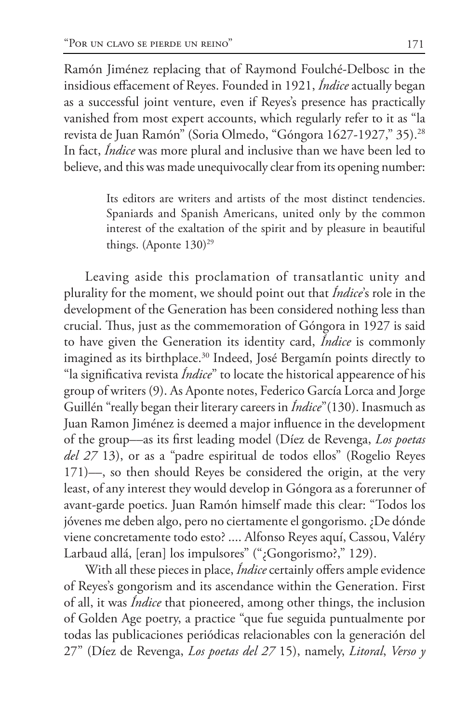Ramón Jiménez replacing that of Raymond Foulché-Delbosc in the insidious effacement of Reyes. Founded in 1921, *Índice* actually began as a successful joint venture, even if Reyes's presence has practically vanished from most expert accounts, which regularly refer to it as "la revista de Juan Ramón" (Soria Olmedo, "Góngora 1627-1927," 35).<sup>28</sup> In fact, *Índice* was more plural and inclusive than we have been led to believe, and this was made unequivocally clear from its opening number:

> Its editors are writers and artists of the most distinct tendencies. Spaniards and Spanish Americans, united only by the common interest of the exaltation of the spirit and by pleasure in beautiful things. (Aponte 130)<sup>29</sup>

Leaving aside this proclamation of transatlantic unity and plurality for the moment, we should point out that *Índice*'s role in the development of the Generation has been considered nothing less than crucial. Thus, just as the commemoration of Góngora in 1927 is said to have given the Generation its identity card, *Índice* is commonly imagined as its birthplace.<sup>30</sup> Indeed, José Bergamín points directly to "la significativa revista *Índice*" to locate the historical appearence of his group of writers (9). As Aponte notes, Federico García Lorca and Jorge Guillén "really began their literary careers in *Índice*"(130). Inasmuch as Juan Ramon Jiménez is deemed a major influence in the development of the group––as its first leading model (Díez de Revenga, *Los poetas del 27* 13), or as a "padre espiritual de todos ellos" (Rogelio Reyes 171)––, so then should Reyes be considered the origin, at the very least, of any interest they would develop in Góngora as a forerunner of avant-garde poetics. Juan Ramón himself made this clear: "Todos los jóvenes me deben algo, pero no ciertamente el gongorismo. ¿De dónde viene concretamente todo esto? .... Alfonso Reyes aquí, Cassou, Valéry Larbaud allá, [eran] los impulsores" ("¿Gongorismo?," 129).

With all these pieces in place, *Índice* certainly offers ample evidence of Reyes's gongorism and its ascendance within the Generation. First of all, it was *Índice* that pioneered, among other things, the inclusion of Golden Age poetry, a practice "que fue seguida puntualmente por todas las publicaciones periódicas relacionables con la generación del 27" (Díez de Revenga, *Los poetas del 27* 15), namely, *Litoral*, *Verso y*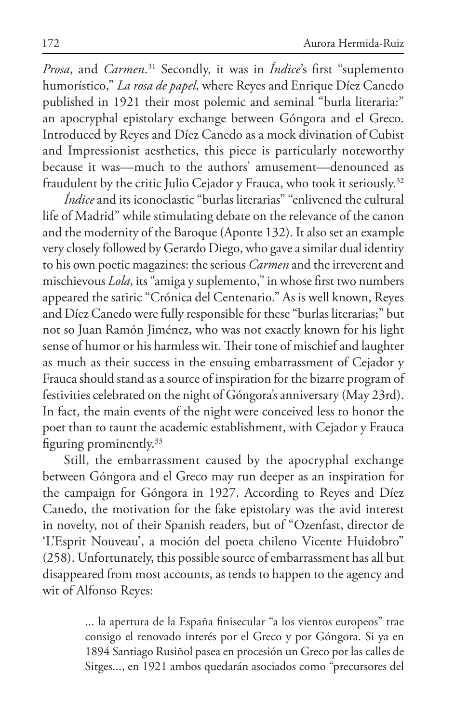*Prosa*, and *Carmen*. 31 Secondly, it was in *Índice*'s first "suplemento humorístico," *La rosa de papel*, where Reyes and Enrique Díez Canedo published in 1921 their most polemic and seminal "burla literaria:" an apocryphal epistolary exchange between Góngora and el Greco. Introduced by Reyes and Díez Canedo as a mock divination of Cubist and Impressionist aesthetics, this piece is particularly noteworthy because it was––much to the authors' amusement––denounced as fraudulent by the critic Julio Cejador y Frauca, who took it seriously.32

*Índice* and its iconoclastic "burlas literarias" "enlivened the cultural life of Madrid" while stimulating debate on the relevance of the canon and the modernity of the Baroque (Aponte 132). It also set an example very closely followed by Gerardo Diego, who gave a similar dual identity to his own poetic magazines: the serious *Carmen* and the irreverent and mischievous *Lola*, its "amiga y suplemento," in whose first two numbers appeared the satiric "Crónica del Centenario." As is well known, Reyes and Díez Canedo were fully responsible for these "burlas literarias;" but not so Juan Ramón Jiménez, who was not exactly known for his light sense of humor or his harmless wit. Their tone of mischief and laughter as much as their success in the ensuing embarrassment of Cejador y Frauca should stand as a source of inspiration for the bizarre program of festivities celebrated on the night of Góngora's anniversary (May 23rd). In fact, the main events of the night were conceived less to honor the poet than to taunt the academic establishment, with Cejador y Frauca figuring prominently.33

Still, the embarrassment caused by the apocryphal exchange between Góngora and el Greco may run deeper as an inspiration for the campaign for Góngora in 1927. According to Reyes and Díez Canedo, the motivation for the fake epistolary was the avid interest in novelty, not of their Spanish readers, but of "Ozenfast, director de 'L'Esprit Nouveau', a moción del poeta chileno Vicente Huidobro" (258). Unfortunately, this possible source of embarrassment has all but disappeared from most accounts, as tends to happen to the agency and wit of Alfonso Reyes:

> ... la apertura de la España finisecular "a los vientos europeos" trae consigo el renovado interés por el Greco y por Góngora. Si ya en 1894 Santiago Rusiñol pasea en procesión un Greco por las calles de Sitges..., en 1921 ambos quedarán asociados como "precursores del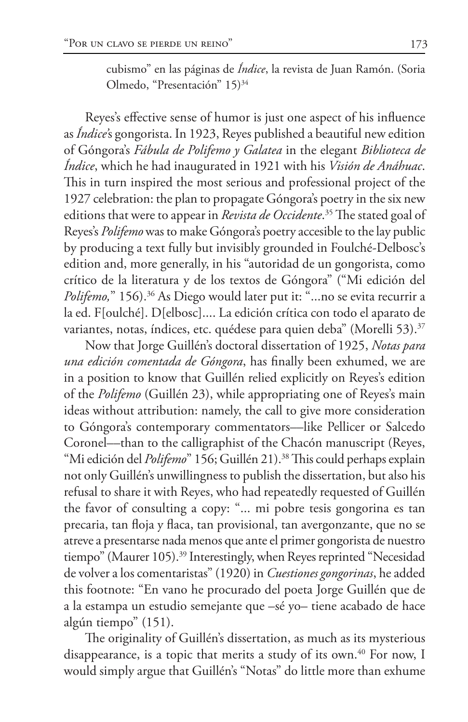cubismo" en las páginas de *Índice*, la revista de Juan Ramón. (Soria Olmedo, "Presentación" 15)<sup>34</sup>

Reyes's effective sense of humor is just one aspect of his influence as *Índice'*s gongorista. In 1923, Reyes published a beautiful new edition of Góngora's *Fábula de Polifemo y Galatea* in the elegant *Biblioteca de Índice*, which he had inaugurated in 1921 with his *Visión de Anáhuac*. This in turn inspired the most serious and professional project of the 1927 celebration: the plan to propagate Góngora's poetry in the six new editions that were to appear in *Revista de Occidente*. 35 The stated goal of Reyes's *Polifemo* was to make Góngora's poetry accesible to the lay public by producing a text fully but invisibly grounded in Foulché-Delbosc's edition and, more generally, in his "autoridad de un gongorista, como crítico de la literatura y de los textos de Góngora" ("Mi edición del *Polifemo,*" 156).<sup>36</sup> As Diego would later put it: "...no se evita recurrir a la ed. F[oulché]. D[elbosc].... La edición crítica con todo el aparato de variantes, notas, índices, etc. quédese para quien deba" (Morelli 53).<sup>37</sup>

Now that Jorge Guillén's doctoral dissertation of 1925, *Notas para una edición comentada de Góngora*, has finally been exhumed, we are in a position to know that Guillén relied explicitly on Reyes's edition of the *Polifemo* (Guillén 23), while appropriating one of Reyes's main ideas without attribution: namely, the call to give more consideration to Góngora's contemporary commentators––like Pellicer or Salcedo Coronel––than to the calligraphist of the Chacón manuscript (Reyes, "Mi edición del *Polifemo*" 156; Guillén 21).<sup>38</sup> This could perhaps explain not only Guillén's unwillingness to publish the dissertation, but also his refusal to share it with Reyes, who had repeatedly requested of Guillén the favor of consulting a copy: "... mi pobre tesis gongorina es tan precaria, tan floja y flaca, tan provisional, tan avergonzante, que no se atreve a presentarse nada menos que ante el primer gongorista de nuestro tiempo" (Maurer 105).<sup>39</sup> Interestingly, when Reyes reprinted "Necesidad de volver a los comentaristas" (1920) in *Cuestiones gongorinas*, he added this footnote: "En vano he procurado del poeta Jorge Guillén que de a la estampa un estudio semejante que –sé yo– tiene acabado de hace algún tiempo" (151).

The originality of Guillén's dissertation, as much as its mysterious disappearance, is a topic that merits a study of its own.<sup>40</sup> For now, I would simply argue that Guillén's "Notas" do little more than exhume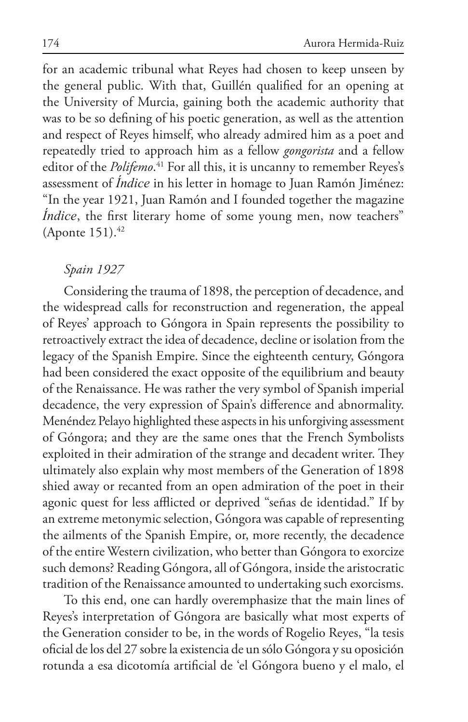for an academic tribunal what Reyes had chosen to keep unseen by the general public. With that, Guillén qualified for an opening at the University of Murcia, gaining both the academic authority that was to be so defining of his poetic generation, as well as the attention and respect of Reyes himself, who already admired him as a poet and repeatedly tried to approach him as a fellow *gongorista* and a fellow editor of the *Polifemo*. 41 For all this, it is uncanny to remember Reyes's assessment of *Índice* in his letter in homage to Juan Ramón Jiménez: "In the year 1921, Juan Ramón and I founded together the magazine *Indice*, the first literary home of some young men, now teachers" (Aponte 151).<sup>42</sup>

#### *Spain 1927*

Considering the trauma of 1898, the perception of decadence, and the widespread calls for reconstruction and regeneration, the appeal of Reyes' approach to Góngora in Spain represents the possibility to retroactively extract the idea of decadence, decline or isolation from the legacy of the Spanish Empire. Since the eighteenth century, Góngora had been considered the exact opposite of the equilibrium and beauty of the Renaissance. He was rather the very symbol of Spanish imperial decadence, the very expression of Spain's difference and abnormality. Menéndez Pelayo highlighted these aspects in his unforgiving assessment of Góngora; and they are the same ones that the French Symbolists exploited in their admiration of the strange and decadent writer. They ultimately also explain why most members of the Generation of 1898 shied away or recanted from an open admiration of the poet in their agonic quest for less afflicted or deprived "señas de identidad." If by an extreme metonymic selection, Góngora was capable of representing the ailments of the Spanish Empire, or, more recently, the decadence of the entire Western civilization, who better than Góngora to exorcize such demons? Reading Góngora, all of Góngora, inside the aristocratic tradition of the Renaissance amounted to undertaking such exorcisms.

To this end, one can hardly overemphasize that the main lines of Reyes's interpretation of Góngora are basically what most experts of the Generation consider to be, in the words of Rogelio Reyes, "la tesis oficial de los del 27 sobre la existencia de un sólo Góngora y su oposición rotunda a esa dicotomía artificial de 'el Góngora bueno y el malo, el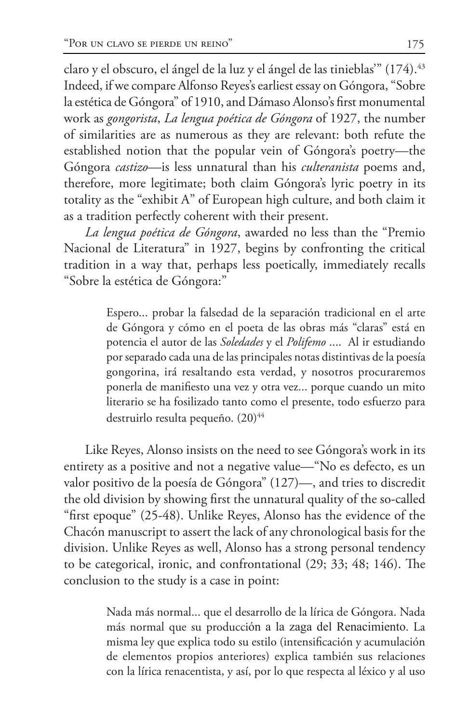claro y el obscuro, el ángel de la luz y el ángel de las tinieblas" (174).<sup>43</sup> Indeed, if we compare Alfonso Reyes's earliest essay on Góngora, "Sobre la estética de Góngora" of 1910, and Dámaso Alonso's first monumental work as *gongorista*, *La lengua poética de Góngora* of 1927, the number of similarities are as numerous as they are relevant: both refute the established notion that the popular vein of Góngora's poetry––the Góngora *castizo*––is less unnatural than his *culteranista* poems and, therefore, more legitimate; both claim Góngora's lyric poetry in its totality as the "exhibit A" of European high culture, and both claim it as a tradition perfectly coherent with their present.

*La lengua poética de Góngora*, awarded no less than the "Premio Nacional de Literatura" in 1927, begins by confronting the critical tradition in a way that, perhaps less poetically, immediately recalls "Sobre la estética de Góngora:"

> Espero... probar la falsedad de la separación tradicional en el arte de Góngora y cómo en el poeta de las obras más "claras" está en potencia el autor de las *Soledades* y el *Polifemo* .... Al ir estudiando por separado cada una de las principales notas distintivas de la poesía gongorina, irá resaltando esta verdad, y nosotros procuraremos ponerla de manifiesto una vez y otra vez... porque cuando un mito literario se ha fosilizado tanto como el presente, todo esfuerzo para destruirlo resulta pequeño. (20)<sup>44</sup>

Like Reyes, Alonso insists on the need to see Góngora's work in its entirety as a positive and not a negative value—"No es defecto, es un valor positivo de la poesía de Góngora" (127)––, and tries to discredit the old division by showing first the unnatural quality of the so-called "first epoque" (25-48). Unlike Reyes, Alonso has the evidence of the Chacón manuscript to assert the lack of any chronological basis for the division. Unlike Reyes as well, Alonso has a strong personal tendency to be categorical, ironic, and confrontational (29; 33; 48; 146). The conclusion to the study is a case in point:

> Nada más normal... que el desarrollo de la lírica de Góngora. Nada más normal que su producción a la zaga del Renacimiento. La misma ley que explica todo su estilo (intensificación y acumulación de elementos propios anteriores) explica también sus relaciones con la lírica renacentista, y así, por lo que respecta al léxico y al uso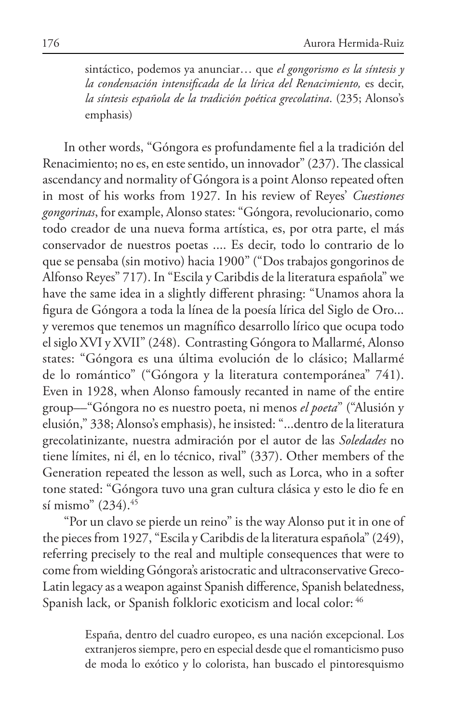sintáctico, podemos ya anunciar… que *el gongorismo es la síntesis y la condensación intensificada de la lírica del Renacimiento,* es decir, *la síntesis española de la tradición poética grecolatina*. (235; Alonso's emphasis)

In other words, "Góngora es profundamente fiel a la tradición del Renacimiento; no es, en este sentido, un innovador" (237). The classical ascendancy and normality of Góngora is a point Alonso repeated often in most of his works from 1927. In his review of Reyes' *Cuestiones gongorinas*, for example, Alonso states: "Góngora, revolucionario, como todo creador de una nueva forma artística, es, por otra parte, el más conservador de nuestros poetas .... Es decir, todo lo contrario de lo que se pensaba (sin motivo) hacia 1900" ("Dos trabajos gongorinos de Alfonso Reyes" 717). In "Escila y Caribdis de la literatura española" we have the same idea in a slightly different phrasing: "Unamos ahora la figura de Góngora a toda la línea de la poesía lírica del Siglo de Oro... y veremos que tenemos un magnífico desarrollo lírico que ocupa todo el siglo XVI y XVII" (248). Contrasting Góngora to Mallarmé, Alonso states: "Góngora es una última evolución de lo clásico; Mallarmé de lo romántico" ("Góngora y la literatura contemporánea" 741). Even in 1928, when Alonso famously recanted in name of the entire group––"Góngora no es nuestro poeta, ni menos *el poeta*" ("Alusión y elusión," 338; Alonso's emphasis), he insisted: "...dentro de la literatura grecolatinizante, nuestra admiración por el autor de las *Soledades* no tiene límites, ni él, en lo técnico, rival" (337). Other members of the Generation repeated the lesson as well, such as Lorca, who in a softer tone stated: "Góngora tuvo una gran cultura clásica y esto le dio fe en sí mismo" (234).<sup>45</sup>

"Por un clavo se pierde un reino" is the way Alonso put it in one of the pieces from 1927, "Escila y Caribdis de la literatura española" (249), referring precisely to the real and multiple consequences that were to come from wielding Góngora's aristocratic and ultraconservative Greco-Latin legacy as a weapon against Spanish difference, Spanish belatedness, Spanish lack, or Spanish folkloric exoticism and local color: 46

> España, dentro del cuadro europeo, es una nación excepcional. Los extranjeros siempre, pero en especial desde que el romanticismo puso de moda lo exótico y lo colorista, han buscado el pintoresquismo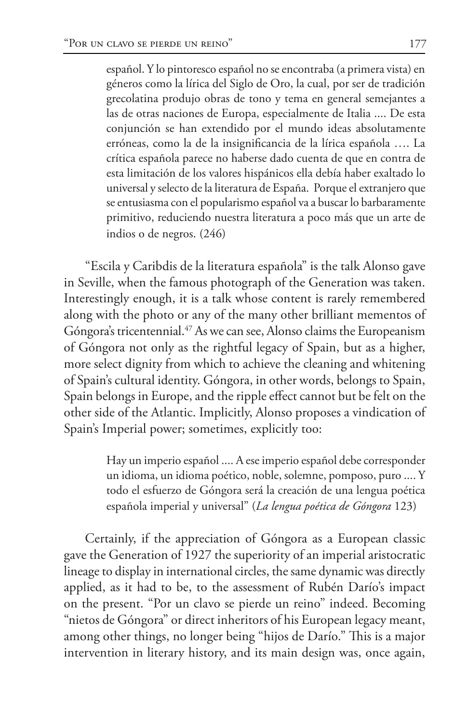español. Y lo pintoresco español no se encontraba (a primera vista) en géneros como la lírica del Siglo de Oro, la cual, por ser de tradición grecolatina produjo obras de tono y tema en general semejantes a las de otras naciones de Europa, especialmente de Italia .... De esta conjunción se han extendido por el mundo ideas absolutamente erróneas, como la de la insignificancia de la lírica española …. La crítica española parece no haberse dado cuenta de que en contra de esta limitación de los valores hispánicos ella debía haber exaltado lo universal y selecto de la literatura de España. Porque el extranjero que se entusiasma con el popularismo español va a buscar lo barbaramente primitivo, reduciendo nuestra literatura a poco más que un arte de indios o de negros. (246)

"Escila y Caribdis de la literatura española" is the talk Alonso gave in Seville, when the famous photograph of the Generation was taken. Interestingly enough, it is a talk whose content is rarely remembered along with the photo or any of the many other brilliant mementos of Góngora's tricentennial.<sup>47</sup> As we can see, Alonso claims the Europeanism of Góngora not only as the rightful legacy of Spain, but as a higher, more select dignity from which to achieve the cleaning and whitening of Spain's cultural identity. Góngora, in other words, belongs to Spain, Spain belongs in Europe, and the ripple effect cannot but be felt on the other side of the Atlantic. Implicitly, Alonso proposes a vindication of Spain's Imperial power; sometimes, explicitly too:

> Hay un imperio español .... A ese imperio español debe corresponder un idioma, un idioma poético, noble, solemne, pomposo, puro .... Y todo el esfuerzo de Góngora será la creación de una lengua poética española imperial y universal" (*La lengua poética de Góngora* 123)

Certainly, if the appreciation of Góngora as a European classic gave the Generation of 1927 the superiority of an imperial aristocratic lineage to display in international circles, the same dynamic was directly applied, as it had to be, to the assessment of Rubén Darío's impact on the present. "Por un clavo se pierde un reino" indeed. Becoming "nietos de Góngora" or direct inheritors of his European legacy meant, among other things, no longer being "hijos de Darío." This is a major intervention in literary history, and its main design was, once again,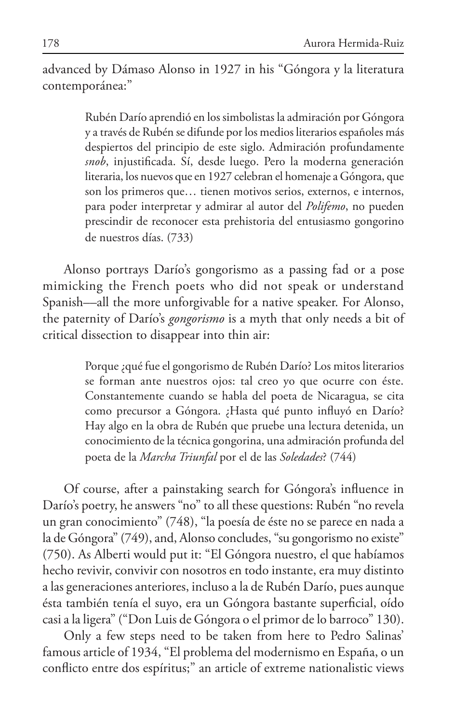advanced by Dámaso Alonso in 1927 in his "Góngora y la literatura contemporánea:"

> Rubén Darío aprendió en los simbolistas la admiración por Góngora y a través de Rubén se difunde por los medios literarios españoles más despiertos del principio de este siglo. Admiración profundamente *snob*, injustificada. Sí, desde luego. Pero la moderna generación literaria, los nuevos que en 1927 celebran el homenaje a Góngora, que son los primeros que… tienen motivos serios, externos, e internos, para poder interpretar y admirar al autor del *Polifemo*, no pueden prescindir de reconocer esta prehistoria del entusiasmo gongorino de nuestros días. (733)

Alonso portrays Darío's gongorismo as a passing fad or a pose mimicking the French poets who did not speak or understand Spanish––all the more unforgivable for a native speaker. For Alonso, the paternity of Darío's *gongorismo* is a myth that only needs a bit of critical dissection to disappear into thin air:

> Porque ¿qué fue el gongorismo de Rubén Darío? Los mitos literarios se forman ante nuestros ojos: tal creo yo que ocurre con éste. Constantemente cuando se habla del poeta de Nicaragua, se cita como precursor a Góngora. ¿Hasta qué punto influyó en Darío? Hay algo en la obra de Rubén que pruebe una lectura detenida, un conocimiento de la técnica gongorina, una admiración profunda del poeta de la *Marcha Triunfal* por el de las *Soledades*? (744)

Of course, after a painstaking search for Góngora's influence in Darío's poetry, he answers "no" to all these questions: Rubén "no revela un gran conocimiento" (748), "la poesía de éste no se parece en nada a la de Góngora" (749), and, Alonso concludes, "su gongorismo no existe" (750). As Alberti would put it: "El Góngora nuestro, el que habíamos hecho revivir, convivir con nosotros en todo instante, era muy distinto a las generaciones anteriores, incluso a la de Rubén Darío, pues aunque ésta también tenía el suyo, era un Góngora bastante superficial, oído casi a la ligera" ("Don Luis de Góngora o el primor de lo barroco" 130).

Only a few steps need to be taken from here to Pedro Salinas' famous article of 1934, "El problema del modernismo en España, o un conflicto entre dos espíritus;" an article of extreme nationalistic views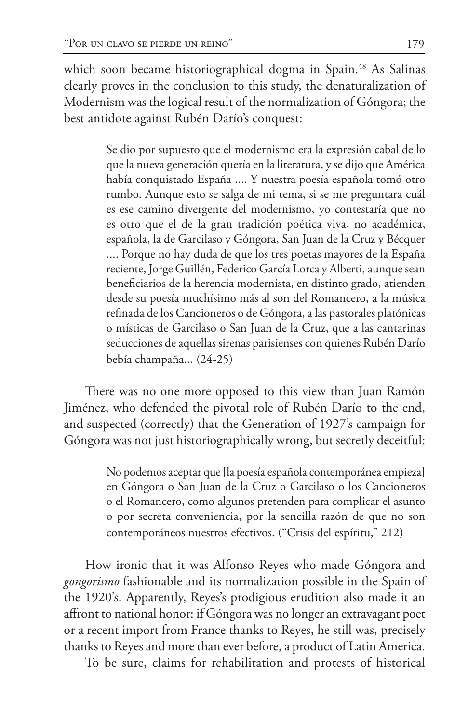which soon became historiographical dogma in Spain.<sup>48</sup> As Salinas clearly proves in the conclusion to this study, the denaturalization of Modernism was the logical result of the normalization of Góngora; the best antidote against Rubén Darío's conquest:

> Se dio por supuesto que el modernismo era la expresión cabal de lo que la nueva generación quería en la literatura, y se dijo que América había conquistado España .... Y nuestra poesía española tomó otro rumbo. Aunque esto se salga de mi tema, si se me preguntara cuál es ese camino divergente del modernismo, yo contestaría que no es otro que el de la gran tradición poética viva, no académica, española, la de Garcilaso y Góngora, San Juan de la Cruz y Bécquer .... Porque no hay duda de que los tres poetas mayores de la España reciente, Jorge Guillén, Federico García Lorca y Alberti, aunque sean beneficiarios de la herencia modernista, en distinto grado, atienden desde su poesía muchísimo más al son del Romancero, a la música refinada de los Cancioneros o de Góngora, a las pastorales platónicas o místicas de Garcilaso o San Juan de la Cruz, que a las cantarinas seducciones de aquellas sirenas parisienses con quienes Rubén Darío bebía champaña... (24-25)

There was no one more opposed to this view than Juan Ramón Jiménez, who defended the pivotal role of Rubén Darío to the end, and suspected (correctly) that the Generation of 1927's campaign for Góngora was not just historiographically wrong, but secretly deceitful:

> No podemos aceptar que [la poesía española contemporánea empieza] en Góngora o San Juan de la Cruz o Garcilaso o los Cancioneros o el Romancero, como algunos pretenden para complicar el asunto o por secreta conveniencia, por la sencilla razón de que no son contemporáneos nuestros efectivos. ("Crisis del espíritu," 212)

How ironic that it was Alfonso Reyes who made Góngora and *gongorismo* fashionable and its normalization possible in the Spain of the 1920's. Apparently, Reyes's prodigious erudition also made it an affront to national honor: if Góngora was no longer an extravagant poet or a recent import from France thanks to Reyes, he still was, precisely thanks to Reyes and more than ever before, a product of Latin America.

To be sure, claims for rehabilitation and protests of historical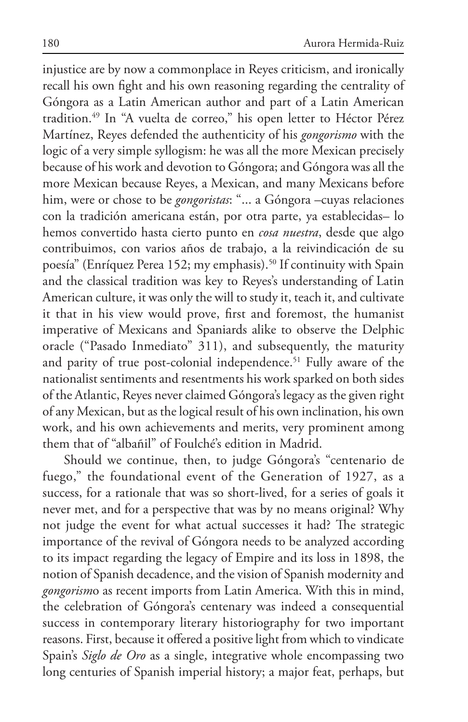injustice are by now a commonplace in Reyes criticism, and ironically recall his own fight and his own reasoning regarding the centrality of Góngora as a Latin American author and part of a Latin American tradition.49 In "A vuelta de correo," his open letter to Héctor Pérez Martínez, Reyes defended the authenticity of his *gongorismo* with the logic of a very simple syllogism: he was all the more Mexican precisely because of his work and devotion to Góngora; and Góngora was all the more Mexican because Reyes, a Mexican, and many Mexicans before him, were or chose to be *gongoristas*: "... a Góngora –cuyas relaciones con la tradición americana están, por otra parte, ya establecidas– lo hemos convertido hasta cierto punto en *cosa nuestra*, desde que algo contribuimos, con varios años de trabajo, a la reivindicación de su poesía" (Enríquez Perea 152; my emphasis).<sup>50</sup> If continuity with Spain and the classical tradition was key to Reyes's understanding of Latin American culture, it was only the will to study it, teach it, and cultivate it that in his view would prove, first and foremost, the humanist imperative of Mexicans and Spaniards alike to observe the Delphic oracle ("Pasado Inmediato" 311), and subsequently, the maturity and parity of true post-colonial independence.<sup>51</sup> Fully aware of the nationalist sentiments and resentments his work sparked on both sides of the Atlantic, Reyes never claimed Góngora's legacy as the given right of any Mexican, but as the logical result of his own inclination, his own work, and his own achievements and merits, very prominent among them that of "albañil" of Foulché's edition in Madrid.

Should we continue, then, to judge Góngora's "centenario de fuego," the foundational event of the Generation of 1927, as a success, for a rationale that was so short-lived, for a series of goals it never met, and for a perspective that was by no means original? Why not judge the event for what actual successes it had? The strategic importance of the revival of Góngora needs to be analyzed according to its impact regarding the legacy of Empire and its loss in 1898, the notion of Spanish decadence, and the vision of Spanish modernity and *gongorism*o as recent imports from Latin America. With this in mind, the celebration of Góngora's centenary was indeed a consequential success in contemporary literary historiography for two important reasons. First, because it offered a positive light from which to vindicate Spain's *Siglo de Oro* as a single, integrative whole encompassing two long centuries of Spanish imperial history; a major feat, perhaps, but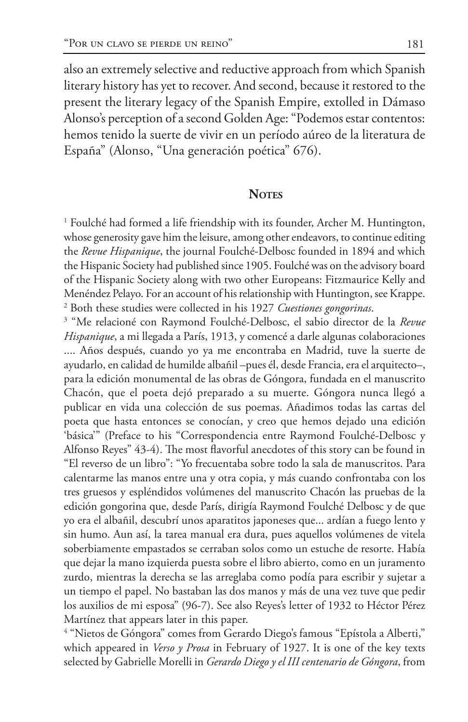also an extremely selective and reductive approach from which Spanish literary history has yet to recover. And second, because it restored to the present the literary legacy of the Spanish Empire, extolled in Dámaso Alonso's perception of a second Golden Age: "Podemos estar contentos: hemos tenido la suerte de vivir en un período aúreo de la literatura de España" (Alonso, "Una generación poética" 676).

#### **NOTES**

<sup>1</sup> Foulché had formed a life friendship with its founder, Archer M. Huntington, whose generosity gave him the leisure, among other endeavors, to continue editing the *Revue Hispanique*, the journal Foulché-Delbosc founded in 1894 and which the Hispanic Society had published since 1905. Foulché was on the advisory board of the Hispanic Society along with two other Europeans: Fitzmaurice Kelly and Menéndez Pelayo. For an account of his relationship with Huntington, see Krappe. 2 Both these studies were collected in his 1927 *Cuestiones gongorinas*.

3 "Me relacioné con Raymond Foulché-Delbosc, el sabio director de la *Revue Hispanique*, a mi llegada a París, 1913, y comencé a darle algunas colaboraciones .... Años después, cuando yo ya me encontraba en Madrid, tuve la suerte de ayudarlo, en calidad de humilde albañil –pues él, desde Francia, era el arquitecto–, para la edición monumental de las obras de Góngora, fundada en el manuscrito Chacón, que el poeta dejó preparado a su muerte. Góngora nunca llegó a publicar en vida una colección de sus poemas. Añadimos todas las cartas del poeta que hasta entonces se conocían, y creo que hemos dejado una edición 'básica'" (Preface to his "Correspondencia entre Raymond Foulché-Delbosc y Alfonso Reyes" 43-4). The most flavorful anecdotes of this story can be found in "El reverso de un libro": "Yo frecuentaba sobre todo la sala de manuscritos. Para calentarme las manos entre una y otra copia, y más cuando confrontaba con los tres gruesos y espléndidos volúmenes del manuscrito Chacón las pruebas de la edición gongorina que, desde París, dirigía Raymond Foulché Delbosc y de que yo era el albañil, descubrí unos aparatitos japoneses que... ardían a fuego lento y sin humo. Aun así, la tarea manual era dura, pues aquellos volúmenes de vitela soberbiamente empastados se cerraban solos como un estuche de resorte. Había que dejar la mano izquierda puesta sobre el libro abierto, como en un juramento zurdo, mientras la derecha se las arreglaba como podía para escribir y sujetar a un tiempo el papel. No bastaban las dos manos y más de una vez tuve que pedir los auxilios de mi esposa" (96-7). See also Reyes's letter of 1932 to Héctor Pérez Martínez that appears later in this paper.

4 "Nietos de Góngora" comes from Gerardo Diego's famous "Epístola a Alberti," which appeared in *Verso y Prosa* in February of 1927. It is one of the key texts selected by Gabrielle Morelli in *Gerardo Diego y el III centenario de Góngora*, from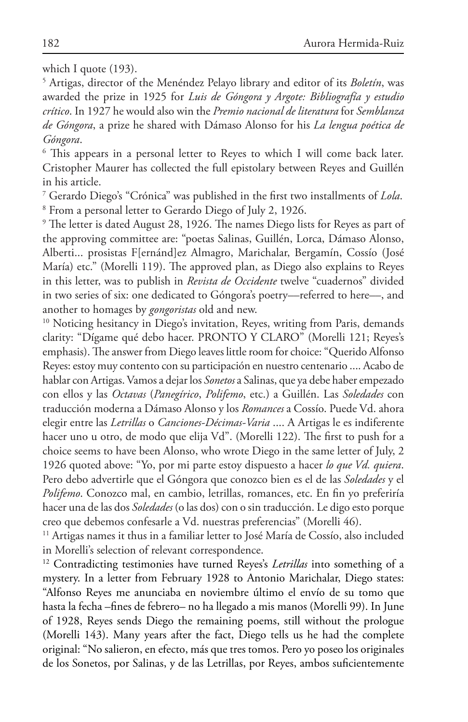which I quote (193).

5 Artigas, director of the Menéndez Pelayo library and editor of its *Boletín*, was awarded the prize in 1925 for *Luis de Góngora y Argote: Bibliografía y estudio crítico*. In 1927 he would also win the *Premio nacional de literatura* for *Semblanza de Góngora*, a prize he shared with Dámaso Alonso for his *La lengua poética de Góngora*.

6 This appears in a personal letter to Reyes to which I will come back later. Cristopher Maurer has collected the full epistolary between Reyes and Guillén in his article.

7 Gerardo Diego's "Crónica" was published in the first two installments of *Lola*. 8 From a personal letter to Gerardo Diego of July 2, 1926.

<sup>9</sup> The letter is dated August 28, 1926. The names Diego lists for Reyes as part of the approving committee are: "poetas Salinas, Guillén, Lorca, Dámaso Alonso, Alberti... prosistas F[ernánd]ez Almagro, Marichalar, Bergamín, Cossío (José María) etc." (Morelli 119). The approved plan, as Diego also explains to Reyes in this letter, was to publish in *Revista de Occidente* twelve "cuadernos" divided in two series of six: one dedicated to Góngora's poetry––referred to here––, and

another to homages by *gongoristas* old and new.<br><sup>10</sup> Noticing hesitancy in Diego's invitation, Reyes, writing from Paris, demands clarity: "Dígame qué debo hacer. PRONTO Y CLARO" (Morelli 121; Reyes's emphasis). The answer from Diego leaves little room for choice: "Querido Alfonso Reyes: estoy muy contento con su participación en nuestro centenario .... Acabo de hablar con Artigas. Vamos a dejar los *Sonetos* a Salinas, que ya debe haber empezado con ellos y las *Octavas* (*Panegírico*, *Polifemo*, etc.) a Guillén. Las *Soledades* con traducción moderna a Dámaso Alonso y los *Romances* a Cossío. Puede Vd. ahora elegir entre las *Letrillas* o *Canciones-Décimas-Varia* .... A Artigas le es indiferente hacer uno u otro, de modo que elija Vd". (Morelli 122). The first to push for a choice seems to have been Alonso, who wrote Diego in the same letter of July, 2 1926 quoted above: "Yo, por mi parte estoy dispuesto a hacer *lo que Vd. quiera*. Pero debo advertirle que el Góngora que conozco bien es el de las *Soledades* y el *Polifemo*. Conozco mal, en cambio, letrillas, romances, etc. En fin yo preferiría hacer una de las dos *Soledades* (o las dos) con o sin traducción. Le digo esto porque creo que debemos confesarle a Vd. nuestras preferencias" (Morelli 46).

<sup>11</sup> Artigas names it thus in a familiar letter to José María de Cossío, also included in Morelli's selection of relevant correspondence.

12 Contradicting testimonies have turned Reyes's *Letrillas* into something of a mystery. In a letter from February 1928 to Antonio Marichalar, Diego states: "Alfonso Reyes me anunciaba en noviembre último el envío de su tomo que hasta la fecha –fines de febrero– no ha llegado a mis manos (Morelli 99). In June of 1928, Reyes sends Diego the remaining poems, still without the prologue (Morelli 143). Many years after the fact, Diego tells us he had the complete original: "No salieron, en efecto, más que tres tomos. Pero yo poseo los originales de los Sonetos, por Salinas, y de las Letrillas, por Reyes, ambos suficientemente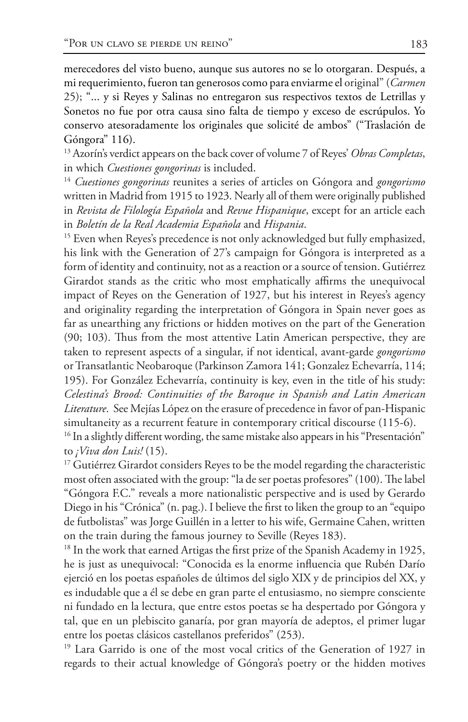merecedores del visto bueno, aunque sus autores no se lo otorgaran. Después, a mi requerimiento, fueron tan generosos como para enviarme el original" (*Carmen*  25); "... y si Reyes y Salinas no entregaron sus respectivos textos de Letrillas y Sonetos no fue por otra causa sino falta de tiempo y exceso de escrúpulos. Yo conservo atesoradamente los originales que solicité de ambos" ("Traslación de Góngora" 116).

13 Azorín's verdict appears on the back cover of volume 7 of Reyes' *Obras Completas*, in which *Cuestiones gongorinas* is included.

<sup>14</sup> *Cuestiones gongorinas* reunites a series of articles on Góngora and *gongorismo* written in Madrid from 1915 to 1923. Nearly all of them were originally published in *Revista de Filología Española* and *Revue Hispanique*, except for an article each in *Boletín de la Real Academia Española* and *Hispania*.

<sup>15</sup> Even when Reyes's precedence is not only acknowledged but fully emphasized, his link with the Generation of 27's campaign for Góngora is interpreted as a form of identity and continuity, not as a reaction or a source of tension. Gutiérrez Girardot stands as the critic who most emphatically affirms the unequivocal impact of Reyes on the Generation of 1927, but his interest in Reyes's agency and originality regarding the interpretation of Góngora in Spain never goes as far as unearthing any frictions or hidden motives on the part of the Generation (90; 103). Thus from the most attentive Latin American perspective, they are taken to represent aspects of a singular, if not identical, avant-garde *gongorismo* or Transatlantic Neobaroque (Parkinson Zamora 141; Gonzalez Echevarría, 114; 195). For González Echevarría, continuity is key, even in the title of his study: *Celestina's Brood: Continuities of the Baroque in Spanish and Latin American Literature*. See Mejías López on the erasure of precedence in favor of pan-Hispanic simultaneity as a recurrent feature in contemporary critical discourse (115-6).

<sup>16</sup> In a slightly different wording, the same mistake also appears in his "Presentación" to *¡Viva don Luis!* (15).

<sup>17</sup> Gutiérrez Girardot considers Reyes to be the model regarding the characteristic most often associated with the group: "la de ser poetas profesores" (100). The label "Góngora F.C." reveals a more nationalistic perspective and is used by Gerardo Diego in his "Crónica" (n. pag.). I believe the first to liken the group to an "equipo de futbolistas" was Jorge Guillén in a letter to his wife, Germaine Cahen, written on the train during the famous journey to Seville (Reyes 183).

<sup>18</sup> In the work that earned Artigas the first prize of the Spanish Academy in 1925, he is just as unequivocal: "Conocida es la enorme influencia que Rubén Darío ejerció en los poetas españoles de últimos del siglo XIX y de principios del XX, y es indudable que a él se debe en gran parte el entusiasmo, no siempre consciente ni fundado en la lectura, que entre estos poetas se ha despertado por Góngora y tal, que en un plebiscito ganaría, por gran mayoría de adeptos, el primer lugar entre los poetas clásicos castellanos preferidos" (253).

<sup>19</sup> Lara Garrido is one of the most vocal critics of the Generation of 1927 in regards to their actual knowledge of Góngora's poetry or the hidden motives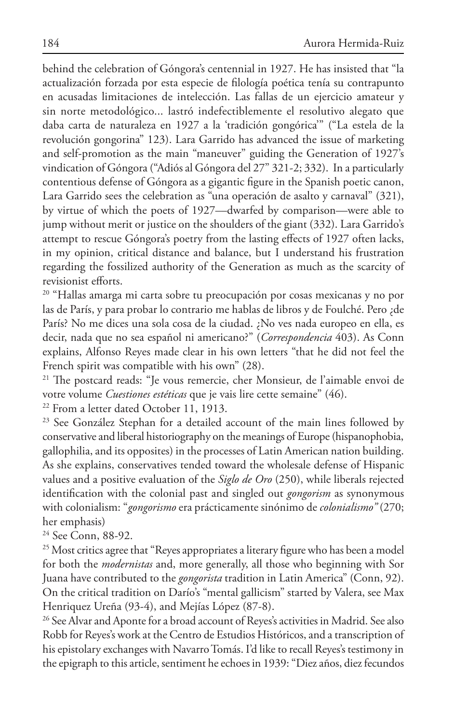behind the celebration of Góngora's centennial in 1927. He has insisted that "la actualización forzada por esta especie de filología poética tenía su contrapunto en acusadas limitaciones de intelección. Las fallas de un ejercicio amateur y sin norte metodológico... lastró indefectiblemente el resolutivo alegato que daba carta de naturaleza en 1927 a la 'tradición gongórica'" ("La estela de la revolución gongorina" 123). Lara Garrido has advanced the issue of marketing and self-promotion as the main "maneuver" guiding the Generation of 1927's vindication of Góngora ("Adiós al Góngora del 27" 321-2; 332). In a particularly contentious defense of Góngora as a gigantic figure in the Spanish poetic canon, Lara Garrido sees the celebration as "una operación de asalto y carnaval" (321), by virtue of which the poets of 1927––dwarfed by comparison––were able to jump without merit or justice on the shoulders of the giant (332). Lara Garrido's attempt to rescue Góngora's poetry from the lasting effects of 1927 often lacks, in my opinion, critical distance and balance, but I understand his frustration regarding the fossilized authority of the Generation as much as the scarcity of revisionist efforts.

<sup>20</sup> "Hallas amarga mi carta sobre tu preocupación por cosas mexicanas y no por las de París, y para probar lo contrario me hablas de libros y de Foulché. Pero ¿de París? No me dices una sola cosa de la ciudad. ¿No ves nada europeo en ella, es decir, nada que no sea español ni americano?" (*Correspondencia* 403). As Conn explains, Alfonso Reyes made clear in his own letters "that he did not feel the French spirit was compatible with his own" (28).

21 The postcard reads: "Je vous remercie, cher Monsieur, de l'aimable envoi de votre volume *Cuestiones estéticas* que je vais lire cette semaine" (46).

22 From a letter dated October 11, 1913.

<sup>23</sup> See González Stephan for a detailed account of the main lines followed by conservative and liberal historiography on the meanings of Europe (hispanophobia, gallophilia, and its opposites) in the processes of Latin American nation building. As she explains, conservatives tended toward the wholesale defense of Hispanic values and a positive evaluation of the *Siglo de Oro* (250), while liberals rejected identification with the colonial past and singled out *gongorism* as synonymous with colonialism: "*gongorismo* era prácticamente sinónimo de *colonialismo"* (270; her emphasis)

<sup>24</sup> See Conn, 88-92.

<sup>25</sup> Most critics agree that "Reyes appropriates a literary figure who has been a model for both the *modernistas* and, more generally, all those who beginning with Sor Juana have contributed to the *gongorista* tradition in Latin America" (Conn, 92). On the critical tradition on Darío's "mental gallicism" started by Valera, see Max Henriquez Ureña (93-4), and Mejías López (87-8).

<sup>26</sup> See Alvar and Aponte for a broad account of Reyes's activities in Madrid. See also Robb for Reyes's work at the Centro de Estudios Históricos, and a transcription of his epistolary exchanges with Navarro Tomás. I'd like to recall Reyes's testimony in the epigraph to this article, sentiment he echoes in 1939: "Diez años, diez fecundos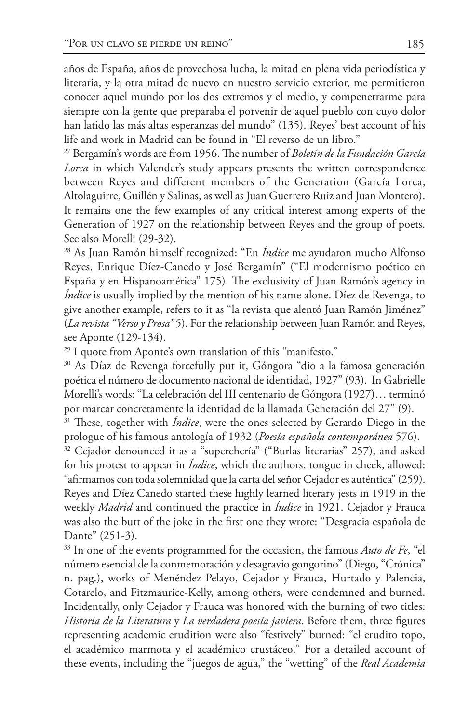años de España, años de provechosa lucha, la mitad en plena vida periodística y literaria, y la otra mitad de nuevo en nuestro servicio exterior, me permitieron conocer aquel mundo por los dos extremos y el medio, y compenetrarme para siempre con la gente que preparaba el porvenir de aquel pueblo con cuyo dolor han latido las más altas esperanzas del mundo" (135). Reyes' best account of his life and work in Madrid can be found in "El reverso de un libro."

27 Bergamín's words are from 1956. The number of *Boletín de la Fundación García Lorca* in which Valender's study appears presents the written correspondence between Reyes and different members of the Generation (García Lorca, Altolaguirre, Guillén y Salinas, as well as Juan Guerrero Ruiz and Juan Montero). It remains one the few examples of any critical interest among experts of the Generation of 1927 on the relationship between Reyes and the group of poets. See also Morelli (29-32).

28 As Juan Ramón himself recognized: "En *Índice* me ayudaron mucho Alfonso Reyes, Enrique Díez-Canedo y José Bergamín" ("El modernismo poético en España y en Hispanoamérica" 175). The exclusivity of Juan Ramón's agency in *Índice* is usually implied by the mention of his name alone. Díez de Revenga, to give another example, refers to it as "la revista que alentó Juan Ramón Jiménez" (*La revista "Verso y Prosa"* 5). For the relationship between Juan Ramón and Reyes, see Aponte (129-134).

<sup>29</sup> I quote from Aponte's own translation of this "manifesto."

30 As Díaz de Revenga forcefully put it, Góngora "dio a la famosa generación poética el número de documento nacional de identidad, 1927" (93). In Gabrielle Morelli's words: "La celebración del III centenario de Góngora (1927)… terminó por marcar concretamente la identidad de la llamada Generación del 27" (9).

<sup>31</sup> These, together with *Índice*, were the ones selected by Gerardo Diego in the prologue of his famous antología of 1932 (*Poesía española contemporánea* 576).

<sup>32</sup> Cejador denounced it as a "superchería" ("Burlas literarias" 257), and asked for his protest to appear in *Índice*, which the authors, tongue in cheek, allowed: "afirmamos con toda solemnidad que la carta del señor Cejador es auténtica" (259). Reyes and Díez Canedo started these highly learned literary jests in 1919 in the weekly *Madrid* and continued the practice in *Índice* in 1921. Cejador y Frauca was also the butt of the joke in the first one they wrote: "Desgracia española de Dante" (251-3).

33 In one of the events programmed for the occasion, the famous *Auto de Fe*, "el número esencial de la conmemoración y desagravio gongorino" (Diego, "Crónica" n. pag.), works of Menéndez Pelayo, Cejador y Frauca, Hurtado y Palencia, Cotarelo, and Fitzmaurice-Kelly, among others, were condemned and burned. Incidentally, only Cejador y Frauca was honored with the burning of two titles: *Historia de la Literatura* y *La verdadera poesía javiera*. Before them, three figures representing academic erudition were also "festively" burned: "el erudito topo, el académico marmota y el académico crustáceo." For a detailed account of these events, including the "juegos de agua," the "wetting" of the *Real Academia*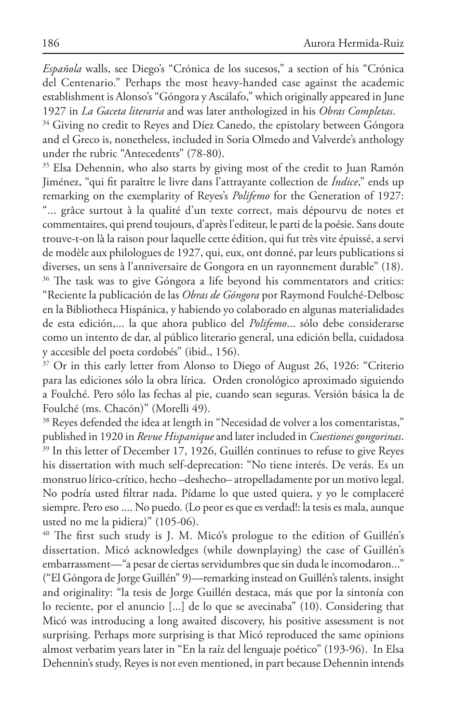*Española* walls, see Diego's "Crónica de los sucesos," a section of his "Crónica del Centenario." Perhaps the most heavy-handed case against the academic establishment is Alonso's "Góngora y Ascálafo," which originally appeared in June 1927 in *La Gaceta literaria* and was later anthologized in his *Obras Completas*.

<sup>34</sup> Giving no credit to Reyes and Díez Canedo, the epistolary between Góngora and el Greco is, nonetheless, included in Soria Olmedo and Valverde's anthology under the rubric "Antecedents" (78-80).

<sup>35</sup> Elsa Dehennin, who also starts by giving most of the credit to Juan Ramón Jiménez, "qui fit paraître le livre dans l'attrayante collection de *Índice*," ends up remarking on the exemplarity of Reyes's *Polifemo* for the Generation of 1927: "... grâce surtout à la qualité d'un texte correct, mais dépourvu de notes et commentaires, qui prend toujours, d'après l'editeur, le parti de la poésie. Sans doute trouve-t-on là la raison pour laquelle cette édition, qui fut très vite épuissé, a servi de modèle aux philologues de 1927, qui, eux, ont donné, par leurs publications si diverses, un sens à l'anniversaire de Gongora en un rayonnement durable" (18). <sup>36</sup> The task was to give Góngora a life beyond his commentators and critics: "Reciente la publicación de las *Obras de Góngora* por Raymond Foulché-Delbosc en la Bibliotheca Hispánica, y habiendo yo colaborado en algunas materialidades de esta edición,... la que ahora publico del *Polifemo*... sólo debe considerarse como un intento de dar, al público literario general, una edición bella, cuidadosa y accesible del poeta cordobés" (ibid., 156).

<sup>37</sup> Or in this early letter from Alonso to Diego of August 26, 1926: "Criterio para las ediciones sólo la obra lírica. Orden cronológico aproximado siguiendo a Foulché. Pero sólo las fechas al pie, cuando sean seguras. Versión básica la de Foulché (ms. Chacón)" (Morelli 49).

<sup>38</sup> Reyes defended the idea at length in "Necesidad de volver a los comentaristas," published in 1920 in *Revue Hispanique* and later included in *Cuestiones gongorinas*. <sup>39</sup> In this letter of December 17, 1926, Guillén continues to refuse to give Reyes his dissertation with much self-deprecation: "No tiene interés. De verás. Es un monstruo lírico-crítico, hecho –deshecho– atropelladamente por un motivo legal. No podría usted filtrar nada. Pídame lo que usted quiera, y yo le complaceré siempre. Pero eso .... No puedo. (Lo peor es que es verdad!: la tesis es mala, aunque usted no me la pidiera)" (105-06).

<sup>40</sup> The first such study is J. M. Micó's prologue to the edition of Guillén's dissertation. Micó acknowledges (while downplaying) the case of Guillén's embarrassment––"a pesar de ciertas servidumbres que sin duda le incomodaron..." ("El Góngora de Jorge Guillén" 9)––remarking instead on Guillén's talents, insight and originality: "la tesis de Jorge Guillén destaca, más que por la sintonía con lo reciente, por el anuncio [...] de lo que se avecinaba" (10). Considering that Micó was introducing a long awaited discovery, his positive assessment is not surprising. Perhaps more surprising is that Micó reproduced the same opinions almost verbatim years later in "En la raíz del lenguaje poético" (193-96). In Elsa Dehennin's study, Reyes is not even mentioned, in part because Dehennin intends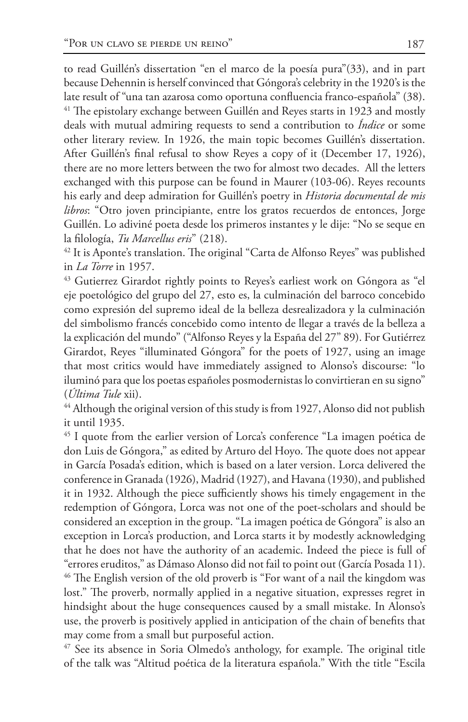to read Guillén's dissertation "en el marco de la poesía pura"(33), and in part because Dehennin is herself convinced that Góngora's celebrity in the 1920's is the late result of "una tan azarosa como oportuna confluencia franco-española" (38). <sup>41</sup> The epistolary exchange between Guillén and Reyes starts in 1923 and mostly deals with mutual admiring requests to send a contribution to *Índice* or some other literary review. In 1926, the main topic becomes Guillén's dissertation. After Guillén's final refusal to show Reyes a copy of it (December 17, 1926), there are no more letters between the two for almost two decades. All the letters exchanged with this purpose can be found in Maurer (103-06). Reyes recounts his early and deep admiration for Guillén's poetry in *Historia documental de mis libros*: "Otro joven principiante, entre los gratos recuerdos de entonces, Jorge Guillén. Lo adiviné poeta desde los primeros instantes y le dije: "No se seque en la filología, *Tu Marcellus eris*" (218).

 $42$  It is Aponte's translation. The original "Carta de Alfonso Reyes" was published in *La Torre* in 1957.

<sup>43</sup> Gutierrez Girardot rightly points to Reyes's earliest work on Góngora as "el eje poetológico del grupo del 27, esto es, la culminación del barroco concebido como expresión del supremo ideal de la belleza desrealizadora y la culminación del simbolismo francés concebido como intento de llegar a través de la belleza a la explicación del mundo" ("Alfonso Reyes y la España del 27" 89). For Gutiérrez Girardot, Reyes "illuminated Góngora" for the poets of 1927, using an image that most critics would have immediately assigned to Alonso's discourse: "lo iluminó para que los poetas españoles posmodernistas lo convirtieran en su signo" (*Última Tule* xii).

<sup>44</sup> Although the original version of this study is from 1927, Alonso did not publish it until 1935.

<sup>45</sup> I quote from the earlier version of Lorca's conference "La imagen poética de don Luis de Góngora," as edited by Arturo del Hoyo. The quote does not appear in García Posada's edition, which is based on a later version. Lorca delivered the conference in Granada (1926), Madrid (1927), and Havana (1930), and published it in 1932. Although the piece sufficiently shows his timely engagement in the redemption of Góngora, Lorca was not one of the poet-scholars and should be considered an exception in the group. "La imagen poética de Góngora" is also an exception in Lorca's production, and Lorca starts it by modestly acknowledging that he does not have the authority of an academic. Indeed the piece is full of "errores eruditos," as Dámaso Alonso did not fail to point out (García Posada 11). <sup>46</sup> The English version of the old proverb is "For want of a nail the kingdom was lost." The proverb, normally applied in a negative situation, expresses regret in hindsight about the huge consequences caused by a small mistake. In Alonso's use, the proverb is positively applied in anticipation of the chain of benefits that

may come from a small but purposeful action. <sup>47</sup> See its absence in Soria Olmedo's anthology, for example. The original title of the talk was "Altitud poética de la literatura española." With the title "Escila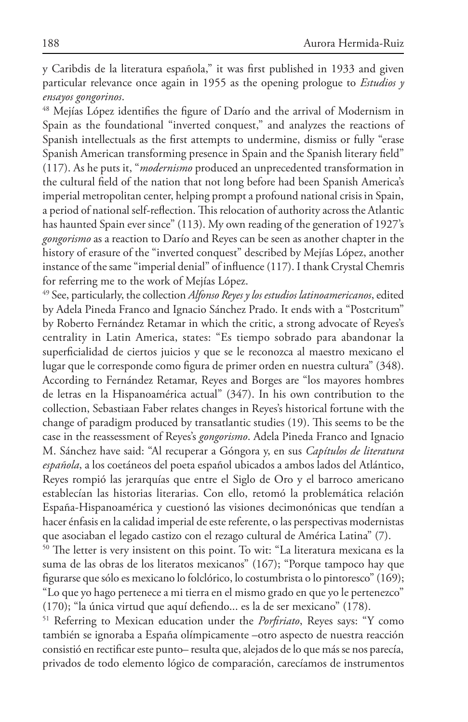y Caribdis de la literatura española," it was first published in 1933 and given particular relevance once again in 1955 as the opening prologue to *Estudios y ensayos gongorinos*.

<sup>48</sup> Mejías López identifies the figure of Darío and the arrival of Modernism in Spain as the foundational "inverted conquest," and analyzes the reactions of Spanish intellectuals as the first attempts to undermine, dismiss or fully "erase Spanish American transforming presence in Spain and the Spanish literary field" (117). As he puts it, "*modernismo* produced an unprecedented transformation in the cultural field of the nation that not long before had been Spanish America's imperial metropolitan center, helping prompt a profound national crisis in Spain, a period of national self-reflection. This relocation of authority across the Atlantic has haunted Spain ever since" (113). My own reading of the generation of 1927's *gongorismo* as a reaction to Darío and Reyes can be seen as another chapter in the history of erasure of the "inverted conquest" described by Mejías López, another instance of the same "imperial denial" of influence (117). I thank Crystal Chemris for referring me to the work of Mejías López.

49 See, particularly, the collection *Alfonso Reyes y los estudios latinoamericanos*, edited by Adela Pineda Franco and Ignacio Sánchez Prado. It ends with a "Postcritum" by Roberto Fernández Retamar in which the critic, a strong advocate of Reyes's centrality in Latin America, states: "Es tiempo sobrado para abandonar la superficialidad de ciertos juicios y que se le reconozca al maestro mexicano el lugar que le corresponde como figura de primer orden en nuestra cultura" (348). According to Fernández Retamar, Reyes and Borges are "los mayores hombres de letras en la Hispanoamérica actual" (347). In his own contribution to the collection, Sebastiaan Faber relates changes in Reyes's historical fortune with the change of paradigm produced by transatlantic studies (19). This seems to be the case in the reassessment of Reyes's *gongorismo*. Adela Pineda Franco and Ignacio M. Sánchez have said: "Al recuperar a Góngora y, en sus *Capítulos de literatura española*, a los coetáneos del poeta español ubicados a ambos lados del Atlántico, Reyes rompió las jerarquías que entre el Siglo de Oro y el barroco americano establecían las historias literarias. Con ello, retomó la problemática relación España-Hispanoamérica y cuestionó las visiones decimonónicas que tendían a hacer énfasis en la calidad imperial de este referente, o las perspectivas modernistas que asociaban el legado castizo con el rezago cultural de América Latina" (7).

50 The letter is very insistent on this point. To wit: "La literatura mexicana es la suma de las obras de los literatos mexicanos" (167); "Porque tampoco hay que figurarse que sólo es mexicano lo folclórico, lo costumbrista o lo pintoresco" (169); "Lo que yo hago pertenece a mi tierra en el mismo grado en que yo le pertenezco" (170); "la única virtud que aquí defiendo... es la de ser mexicano" (178).

51 Referring to Mexican education under the *Porfiriato*, Reyes says: "Y como también se ignoraba a España olímpicamente –otro aspecto de nuestra reacción consistió en rectificar este punto– resulta que, alejados de lo que más se nos parecía, privados de todo elemento lógico de comparación, carecíamos de instrumentos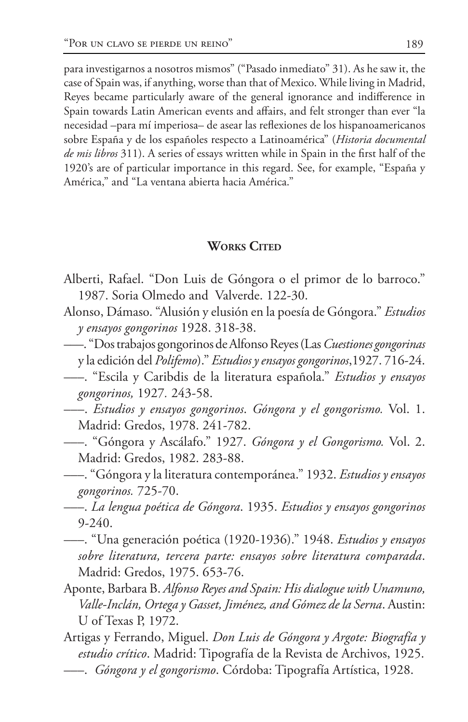para investigarnos a nosotros mismos" ("Pasado inmediato" 31). As he saw it, the case of Spain was, if anything, worse than that of Mexico. While living in Madrid, Reyes became particularly aware of the general ignorance and indifference in Spain towards Latin American events and affairs, and felt stronger than ever "la necesidad –para mí imperiosa– de asear las reflexiones de los hispanoamericanos sobre España y de los españoles respecto a Latinoamérica" (*Historia documental de mis libros* 311). A series of essays written while in Spain in the first half of the 1920's are of particular importance in this regard. See, for example, "España y América," and "La ventana abierta hacia América."

#### **WORKS CITED**

- Alberti, Rafael. "Don Luis de Góngora o el primor de lo barroco." 1987. Soria Olmedo and Valverde. 122-30.
- Alonso, Dámaso. "Alusión y elusión en la poesía de Góngora." *Estudios y ensayos gongorinos* 1928. 318-38.
- –––. "Dos trabajos gongorinos de Alfonso Reyes (Las *Cuestiones gongorinas*
	- y la edición del *Polifemo*)." *Estudios y ensayos gongorinos*,1927. 716-24.
- –––. "Escila y Caribdis de la literatura española." *Estudios y ensayos gongorinos,* 1927*.* 243-58.
- –––. *Estudios y ensayos gongorinos*. *Góngora y el gongorismo.* Vol. 1. Madrid: Gredos, 1978. 241-782.
- –––. "Góngora y Ascálafo." 1927. *Góngora y el Gongorismo.* Vol. 2. Madrid: Gredos, 1982. 283-88.
- –––. "Góngora y la literatura contemporánea." 1932. *Estudios y ensayos gongorinos.* 725-70.
- –––. *La lengua poética de Góngora*. 1935. *Estudios y ensayos gongorinos* 9-240.
- –––. "Una generación poética (1920-1936)." 1948. *Estudios y ensayos sobre literatura, tercera parte: ensayos sobre literatura comparada*. Madrid: Gredos, 1975. 653-76.
- Aponte, Barbara B. *Alfonso Reyes and Spain: His dialogue with Unamuno, Valle-Inclán, Ortega y Gasset, Jiménez, and Gómez de la Serna*. Austin: U of Texas P, 1972.
- Artigas y Ferrando, Miguel. *Don Luis de Góngora y Argote: Biografía y estudio crítico*. Madrid: Tipografía de la Revista de Archivos, 1925.
- –––. *Góngora y el gongorismo*. Córdoba: Tipografía Artística, 1928.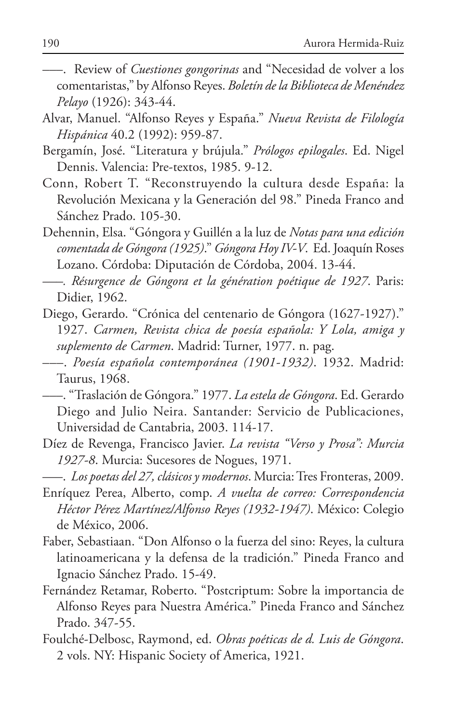- –––. Review of *Cuestiones gongorinas* and "Necesidad de volver a los comentaristas," by Alfonso Reyes. *Boletín de la Biblioteca de Menéndez Pelayo* (1926): 343-44.
- Alvar, Manuel. "Alfonso Reyes y España." *Nueva Revista de Filología Hispánica* 40.2 (1992): 959-87.
- Bergamín, José. "Literatura y brújula." *Prólogos epilogales*. Ed. Nigel Dennis. Valencia: Pre-textos, 1985. 9-12.
- Conn, Robert T. "Reconstruyendo la cultura desde España: la Revolución Mexicana y la Generación del 98." Pineda Franco and Sánchez Prado. 105-30.
- Dehennin, Elsa. "Góngora y Guillén a la luz de *Notas para una edición comentada de Góngora (1925)*." *Góngora Hoy IV-V*. Ed. Joaquín Roses Lozano. Córdoba: Diputación de Córdoba, 2004. 13-44.
- *–––. Résurgence de Góngora et la génération poétique de 1927*. Paris: Didier, 1962.
- Diego, Gerardo. "Crónica del centenario de Góngora (1627-1927)." 1927. *Carmen, Revista chica de poesía española: Y Lola, amiga y suplemento de Carmen*. Madrid: Turner, 1977. n. pag.
- –––. *Poesía española contemporánea (1901-1932)*. 1932. Madrid: Taurus, 1968.
- –––. "Traslación de Góngora." 1977. *La estela de Góngora*. Ed. Gerardo Diego and Julio Neira. Santander: Servicio de Publicaciones, Universidad de Cantabria, 2003. 114-17.
- Díez de Revenga, Francisco Javier. *La revista "Verso y Prosa": Murcia 1927-8*. Murcia: Sucesores de Nogues, 1971.
- –––. *Los poetas del 27, clásicos y modernos*. Murcia: Tres Fronteras, 2009.
- Enríquez Perea, Alberto, comp. *A vuelta de correo: Correspondencia Héctor Pérez Martínez/Alfonso Reyes (1932-1947)*. México: Colegio de México, 2006.
- Faber, Sebastiaan. "Don Alfonso o la fuerza del sino: Reyes, la cultura latinoamericana y la defensa de la tradición." Pineda Franco and Ignacio Sánchez Prado. 15-49.
- Fernández Retamar, Roberto. "Postcriptum: Sobre la importancia de Alfonso Reyes para Nuestra América." Pineda Franco and Sánchez Prado. 347-55.
- Foulché-Delbosc, Raymond, ed. *Obras poéticas de d. Luis de Góngora*. 2 vols. NY: Hispanic Society of America, 1921.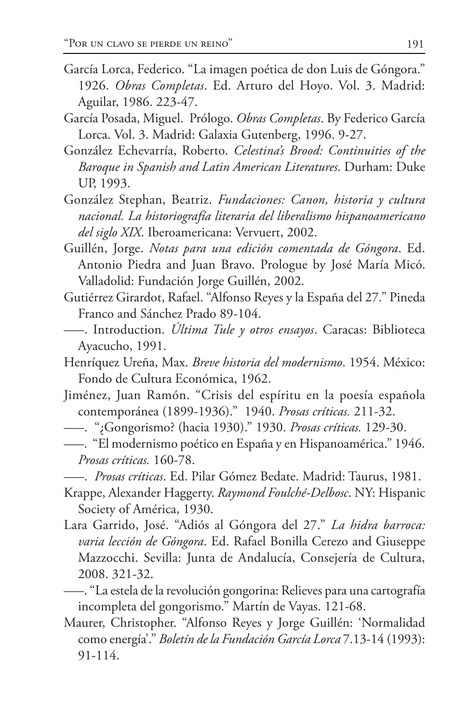- García Lorca, Federico. "La imagen poética de don Luis de Góngora." 1926. *Obras Completas*. Ed. Arturo del Hoyo. Vol. 3. Madrid: Aguilar, 1986. 223-47.
- García Posada, Miguel. Prólogo. *Obras Completas*. By Federico García Lorca. Vol. 3. Madrid: Galaxia Gutenberg, 1996. 9-27.
- González Echevarría, Roberto. *Celestina's Brood: Continuities of the Baroque in Spanish and Latin American Literatures*. Durham: Duke UP, 1993.
- González Stephan, Beatriz. *Fundaciones: Canon, historia y cultura nacional. La historiografía literaria del liberalismo hispanoamericano del siglo XIX*. Iberoamericana: Vervuert, 2002.
- Guillén, Jorge. *Notas para una edición comentada de Góngora*. Ed. Antonio Piedra and Juan Bravo. Prologue by José María Micó. Valladolid: Fundación Jorge Guillén, 2002.
- Gutiérrez Girardot, Rafael. "Alfonso Reyes y la España del 27." Pineda Franco and Sánchez Prado 89-104.
- –––. Introduction. *Última Tule y otros ensayos*. Caracas: Biblioteca Ayacucho, 1991.
- Henríquez Ureña, Max. *Breve historia del modernismo*. 1954. México: Fondo de Cultura Económica, 1962.
- Jiménez, Juan Ramón. "Crisis del espíritu en la poesía española contemporánea (1899-1936)." 1940. *Prosas críticas.* 211-32.
- –––. "¿Gongorismo? (hacia 1930)." 1930. *Prosas críticas.* 129-30.
- –––. "El modernismo poético en España y en Hispanoamérica." 1946. *Prosas críticas.* 160-78.
- –––. *Prosas críticas*. Ed. Pilar Gómez Bedate. Madrid: Taurus, 1981.
- Krappe, Alexander Haggerty. *Raymond Foulché-Delbosc*. NY: Hispanic Society of América, 1930.
- Lara Garrido, José. "Adiós al Góngora del 27." *La hidra barroca: varia lección de Góngora*. Ed. Rafael Bonilla Cerezo and Giuseppe Mazzocchi. Sevilla: Junta de Andalucía, Consejería de Cultura, 2008. 321-32.
- –––. "La estela de la revolución gongorina: Relieves para una cartografía incompleta del gongorismo." Martín de Vayas. 121-68.
- Maurer, Christopher. "Alfonso Reyes y Jorge Guillén: 'Normalidad como energía'." *Boletín de la Fundación García Lorca* 7.13-14 (1993): 91-114.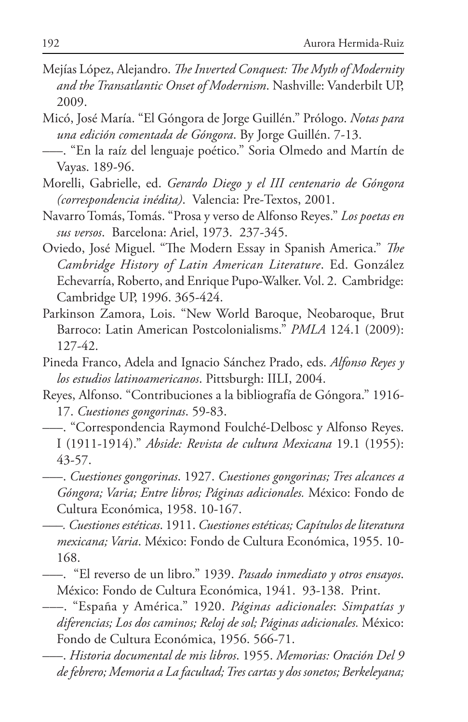- Mejías López, Alejandro. *The Inverted Conquest: The Myth of Modernity and the Transatlantic Onset of Modernism*. Nashville: Vanderbilt UP, 2009.
- Micó, José María. "El Góngora de Jorge Guillén." Prólogo. *Notas para una edición comentada de Góngora*. By Jorge Guillén. 7-13.
- –––. "En la raíz del lenguaje poético." Soria Olmedo and Martín de Vayas. 189-96.
- Morelli, Gabrielle, ed. *Gerardo Diego y el III centenario de Góngora (correspondencia inédita)*. Valencia: Pre-Textos, 2001.
- Navarro Tomás, Tomás. "Prosa y verso de Alfonso Reyes." *Los poetas en sus versos*. Barcelona: Ariel, 1973. 237-345.
- Oviedo, José Miguel. "The Modern Essay in Spanish America." *The Cambridge History of Latin American Literature*. Ed. González Echevarría, Roberto, and Enrique Pupo-Walker. Vol. 2. Cambridge: Cambridge UP, 1996. 365-424.
- Parkinson Zamora, Lois. "New World Baroque, Neobaroque, Brut Barroco: Latin American Postcolonialisms." *PMLA* 124.1 (2009): 127-42.
- Pineda Franco, Adela and Ignacio Sánchez Prado, eds. *Alfonso Reyes y los estudios latinoamericanos*. Pittsburgh: IILI, 2004.
- Reyes, Alfonso. "Contribuciones a la bibliografía de Góngora." 1916- 17. *Cuestiones gongorinas*. 59-83.
- –––. "Correspondencia Raymond Foulché-Delbosc y Alfonso Reyes. I (1911-1914)." *Abside: Revista de cultura Mexicana* 19.1 (1955): 43-57.
- –––. *Cuestiones gongorinas*. 1927. *Cuestiones gongorinas; Tres alcances a Góngora; Varia; Entre libros; Páginas adicionales.* México: Fondo de Cultura Económica, 1958. 10-167.
- *–––. Cuestiones estéticas*. 1911. *Cuestiones estéticas; Capítulos de literatura mexicana; Varia*. México: Fondo de Cultura Económica, 1955. 10- 168.
- –––. "El reverso de un libro." 1939. *Pasado inmediato y otros ensayos*. México: Fondo de Cultura Económica, 1941. 93-138. Print.
- –––. "España y América." 1920. *Páginas adicionales*: *Simpatías y diferencias; Los dos caminos; Reloj de sol; Páginas adicionales.* México: Fondo de Cultura Económica, 1956. 566-71.
- –––. *Historia documental de mis libros*. 1955. *Memorias: Oración Del 9 de febrero; Memoria a La facultad; Tres cartas y dos sonetos; Berkeleyana;*